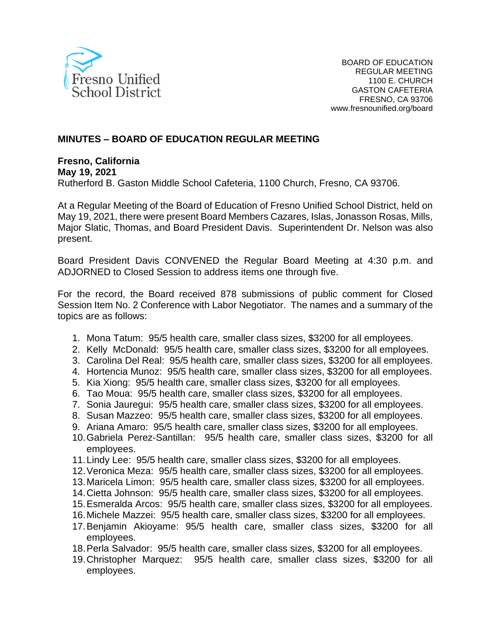

## **MINUTES – BOARD OF EDUCATION REGULAR MEETING**

#### **Fresno, California May 19, 2021** Rutherford B. Gaston Middle School Cafeteria, 1100 Church, Fresno, CA 93706.

At a Regular Meeting of the Board of Education of Fresno Unified School District, held on May 19, 2021, there were present Board Members Cazares, Islas, Jonasson Rosas, Mills, Major Slatic, Thomas, and Board President Davis. Superintendent Dr. Nelson was also present.

Board President Davis CONVENED the Regular Board Meeting at 4:30 p.m. and ADJORNED to Closed Session to address items one through five.

For the record, the Board received 878 submissions of public comment for Closed Session Item No. 2 Conference with Labor Negotiator. The names and a summary of the topics are as follows:

- 1. Mona Tatum: 95/5 health care, smaller class sizes, \$3200 for all employees.
- 2. Kelly McDonald: 95/5 health care, smaller class sizes, \$3200 for all employees.
- 3. Carolina Del Real: 95/5 health care, smaller class sizes, \$3200 for all employees.
- 4. Hortencia Munoz: 95/5 health care, smaller class sizes, \$3200 for all employees.
- 5. Kia Xiong: 95/5 health care, smaller class sizes, \$3200 for all employees.
- 6. Tao Moua: 95/5 health care, smaller class sizes, \$3200 for all employees.
- 7. Sonia Jauregui: 95/5 health care, smaller class sizes, \$3200 for all employees.
- 8. Susan Mazzeo: 95/5 health care, smaller class sizes, \$3200 for all employees.
- 9. Ariana Amaro: 95/5 health care, smaller class sizes, \$3200 for all employees.
- 10.Gabriela Perez-Santillan: 95/5 health care, smaller class sizes, \$3200 for all employees.
- 11.Lindy Lee: 95/5 health care, smaller class sizes, \$3200 for all employees.
- 12.Veronica Meza: 95/5 health care, smaller class sizes, \$3200 for all employees.
- 13.Maricela Limon: 95/5 health care, smaller class sizes, \$3200 for all employees.
- 14.Cietta Johnson: 95/5 health care, smaller class sizes, \$3200 for all employees.
- 15.Esmeralda Arcos: 95/5 health care, smaller class sizes, \$3200 for all employees.
- 16.Michele Mazzei: 95/5 health care, smaller class sizes, \$3200 for all employees.
- 17.Benjamin Akioyame: 95/5 health care, smaller class sizes, \$3200 for all employees.
- 18.Perla Salvador: 95/5 health care, smaller class sizes, \$3200 for all employees.
- 19.Christopher Marquez: 95/5 health care, smaller class sizes, \$3200 for all employees.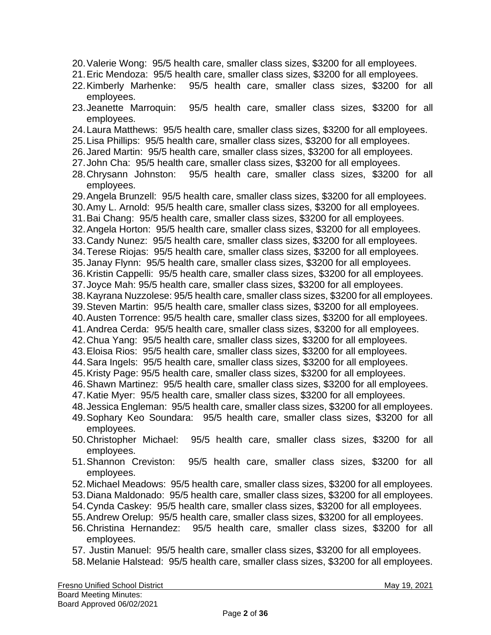- 20.Valerie Wong: 95/5 health care, smaller class sizes, \$3200 for all employees.
- 21.Eric Mendoza: 95/5 health care, smaller class sizes, \$3200 for all employees.
- 22.Kimberly Marhenke: 95/5 health care, smaller class sizes, \$3200 for all employees.
- 23.Jeanette Marroquin: 95/5 health care, smaller class sizes, \$3200 for all employees.
- 24.Laura Matthews: 95/5 health care, smaller class sizes, \$3200 for all employees.
- 25.Lisa Phillips: 95/5 health care, smaller class sizes, \$3200 for all employees.
- 26.Jared Martin: 95/5 health care, smaller class sizes, \$3200 for all employees.
- 27.John Cha: 95/5 health care, smaller class sizes, \$3200 for all employees.
- 28.Chrysann Johnston: 95/5 health care, smaller class sizes, \$3200 for all employees.
- 29.Angela Brunzell: 95/5 health care, smaller class sizes, \$3200 for all employees.
- 30.Amy L. Arnold: 95/5 health care, smaller class sizes, \$3200 for all employees.
- 31.Bai Chang: 95/5 health care, smaller class sizes, \$3200 for all employees.
- 32.Angela Horton: 95/5 health care, smaller class sizes, \$3200 for all employees.
- 33.Candy Nunez: 95/5 health care, smaller class sizes, \$3200 for all employees.
- 34.Terese Riojas: 95/5 health care, smaller class sizes, \$3200 for all employees.
- 35.Janay Flynn: 95/5 health care, smaller class sizes, \$3200 for all employees.
- 36.Kristin Cappelli: 95/5 health care, smaller class sizes, \$3200 for all employees.
- 37.Joyce Mah: 95/5 health care, smaller class sizes, \$3200 for all employees.
- 38.Kayrana Nuzzolese: 95/5 health care, smaller class sizes, \$3200 for all employees.
- 39.Steven Martin: 95/5 health care, smaller class sizes, \$3200 for all employees.
- 40.Austen Torrence: 95/5 health care, smaller class sizes, \$3200 for all employees.
- 41.Andrea Cerda: 95/5 health care, smaller class sizes, \$3200 for all employees.
- 42.Chua Yang: 95/5 health care, smaller class sizes, \$3200 for all employees.
- 43.Eloisa Rios: 95/5 health care, smaller class sizes, \$3200 for all employees.
- 44.Sara Ingels: 95/5 health care, smaller class sizes, \$3200 for all employees.
- 45.Kristy Page: 95/5 health care, smaller class sizes, \$3200 for all employees.
- 46.Shawn Martinez: 95/5 health care, smaller class sizes, \$3200 for all employees.
- 47.Katie Myer: 95/5 health care, smaller class sizes, \$3200 for all employees.
- 48.Jessica Engleman: 95/5 health care, smaller class sizes, \$3200 for all employees.
- 49.Sophary Keo Soundara: 95/5 health care, smaller class sizes, \$3200 for all employees.
- 50.Christopher Michael: 95/5 health care, smaller class sizes, \$3200 for all employees.
- 51.Shannon Creviston: 95/5 health care, smaller class sizes, \$3200 for all employees.
- 52.Michael Meadows: 95/5 health care, smaller class sizes, \$3200 for all employees.
- 53.Diana Maldonado: 95/5 health care, smaller class sizes, \$3200 for all employees.
- 54.Cynda Caskey: 95/5 health care, smaller class sizes, \$3200 for all employees.
- 55.Andrew Orelup: 95/5 health care, smaller class sizes, \$3200 for all employees.
- 56.Christina Hernandez: 95/5 health care, smaller class sizes, \$3200 for all employees.
- 57. Justin Manuel: 95/5 health care, smaller class sizes, \$3200 for all employees.
- 58.Melanie Halstead: 95/5 health care, smaller class sizes, \$3200 for all employees.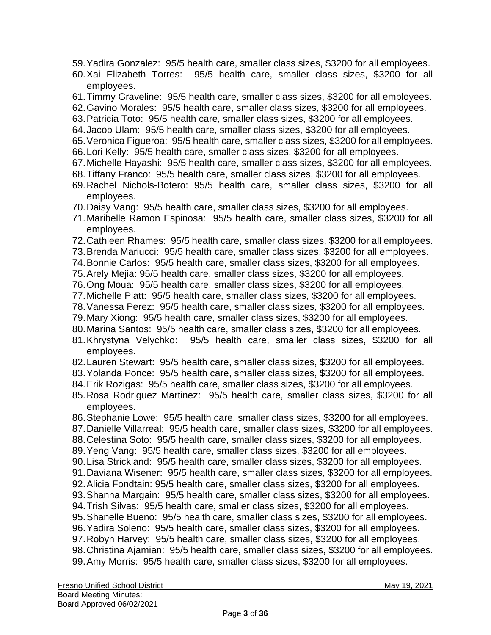- 59.Yadira Gonzalez: 95/5 health care, smaller class sizes, \$3200 for all employees.
- 60.Xai Elizabeth Torres: 95/5 health care, smaller class sizes, \$3200 for all employees.
- 61.Timmy Graveline: 95/5 health care, smaller class sizes, \$3200 for all employees.
- 62.Gavino Morales: 95/5 health care, smaller class sizes, \$3200 for all employees.
- 63.Patricia Toto: 95/5 health care, smaller class sizes, \$3200 for all employees.
- 64.Jacob Ulam: 95/5 health care, smaller class sizes, \$3200 for all employees.
- 65.Veronica Figueroa: 95/5 health care, smaller class sizes, \$3200 for all employees.
- 66.Lori Kelly: 95/5 health care, smaller class sizes, \$3200 for all employees.
- 67.Michelle Hayashi: 95/5 health care, smaller class sizes, \$3200 for all employees.
- 68.Tiffany Franco: 95/5 health care, smaller class sizes, \$3200 for all employees.
- 69.Rachel Nichols-Botero: 95/5 health care, smaller class sizes, \$3200 for all employees.
- 70.Daisy Vang: 95/5 health care, smaller class sizes, \$3200 for all employees.
- 71.Maribelle Ramon Espinosa: 95/5 health care, smaller class sizes, \$3200 for all employees.
- 72.Cathleen Rhames: 95/5 health care, smaller class sizes, \$3200 for all employees.
- 73.Brenda Mariucci: 95/5 health care, smaller class sizes, \$3200 for all employees.
- 74.Bonnie Carlos: 95/5 health care, smaller class sizes, \$3200 for all employees.
- 75.Arely Mejia: 95/5 health care, smaller class sizes, \$3200 for all employees.
- 76.Ong Moua: 95/5 health care, smaller class sizes, \$3200 for all employees.
- 77.Michelle Platt: 95/5 health care, smaller class sizes, \$3200 for all employees.
- 78.Vanessa Perez: 95/5 health care, smaller class sizes, \$3200 for all employees.
- 79.Mary Xiong: 95/5 health care, smaller class sizes, \$3200 for all employees.
- 80.Marina Santos: 95/5 health care, smaller class sizes, \$3200 for all employees.
- 81.Khrystyna Velychko: 95/5 health care, smaller class sizes, \$3200 for all employees.
- 82.Lauren Stewart: 95/5 health care, smaller class sizes, \$3200 for all employees.
- 83.Yolanda Ponce: 95/5 health care, smaller class sizes, \$3200 for all employees.
- 84.Erik Rozigas: 95/5 health care, smaller class sizes, \$3200 for all employees.
- 85.Rosa Rodriguez Martinez: 95/5 health care, smaller class sizes, \$3200 for all employees.
- 86.Stephanie Lowe: 95/5 health care, smaller class sizes, \$3200 for all employees.
- 87.Danielle Villarreal: 95/5 health care, smaller class sizes, \$3200 for all employees.
- 88.Celestina Soto: 95/5 health care, smaller class sizes, \$3200 for all employees.
- 89.Yeng Vang: 95/5 health care, smaller class sizes, \$3200 for all employees.
- 90.Lisa Strickland: 95/5 health care, smaller class sizes, \$3200 for all employees.
- 91.Daviana Wisener: 95/5 health care, smaller class sizes, \$3200 for all employees.
- 92.Alicia Fondtain: 95/5 health care, smaller class sizes, \$3200 for all employees.
- 93.Shanna Margain: 95/5 health care, smaller class sizes, \$3200 for all employees.
- 94.Trish Silvas: 95/5 health care, smaller class sizes, \$3200 for all employees.
- 95.Shanelle Bueno: 95/5 health care, smaller class sizes, \$3200 for all employees.
- 96.Yadira Soleno: 95/5 health care, smaller class sizes, \$3200 for all employees.
- 97.Robyn Harvey: 95/5 health care, smaller class sizes, \$3200 for all employees.
- 98.Christina Ajamian: 95/5 health care, smaller class sizes, \$3200 for all employees. 99.Amy Morris: 95/5 health care, smaller class sizes, \$3200 for all employees.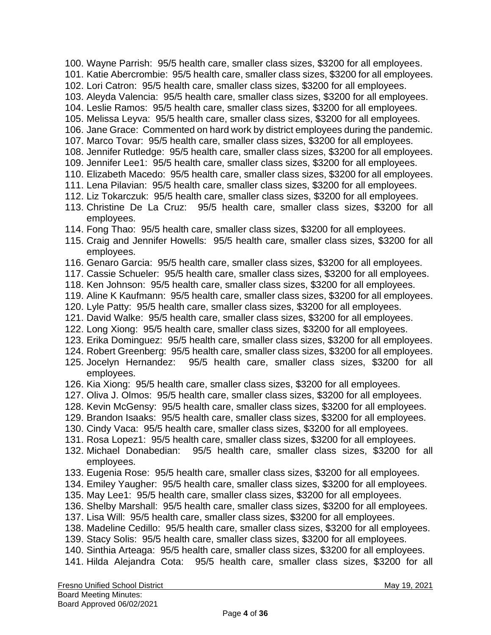- 100. Wayne Parrish: 95/5 health care, smaller class sizes, \$3200 for all employees.
- 101. Katie Abercrombie: 95/5 health care, smaller class sizes, \$3200 for all employees.
- 102. Lori Catron: 95/5 health care, smaller class sizes, \$3200 for all employees.
- 103. Aleyda Valencia: 95/5 health care, smaller class sizes, \$3200 for all employees.
- 104. Leslie Ramos: 95/5 health care, smaller class sizes, \$3200 for all employees.
- 105. Melissa Leyva: 95/5 health care, smaller class sizes, \$3200 for all employees.
- 106. Jane Grace: Commented on hard work by district employees during the pandemic.
- 107. Marco Tovar: 95/5 health care, smaller class sizes, \$3200 for all employees.
- 108. Jennifer Rutledge: 95/5 health care, smaller class sizes, \$3200 for all employees.
- 109. Jennifer Lee1: 95/5 health care, smaller class sizes, \$3200 for all employees.
- 110. Elizabeth Macedo: 95/5 health care, smaller class sizes, \$3200 for all employees.
- 111. Lena Pilavian: 95/5 health care, smaller class sizes, \$3200 for all employees.
- 112. Liz Tokarczuk: 95/5 health care, smaller class sizes, \$3200 for all employees.
- 113. Christine De La Cruz: 95/5 health care, smaller class sizes, \$3200 for all employees.
- 114. Fong Thao: 95/5 health care, smaller class sizes, \$3200 for all employees.
- 115. Craig and Jennifer Howells: 95/5 health care, smaller class sizes, \$3200 for all employees.
- 116. Genaro Garcia: 95/5 health care, smaller class sizes, \$3200 for all employees.
- 117. Cassie Schueler: 95/5 health care, smaller class sizes, \$3200 for all employees.
- 118. Ken Johnson: 95/5 health care, smaller class sizes, \$3200 for all employees.
- 119. Aline K Kaufmann: 95/5 health care, smaller class sizes, \$3200 for all employees.
- 120. Lyle Patty: 95/5 health care, smaller class sizes, \$3200 for all employees.
- 121. David Walke: 95/5 health care, smaller class sizes, \$3200 for all employees.
- 122. Long Xiong: 95/5 health care, smaller class sizes, \$3200 for all employees.
- 123. Erika Dominguez: 95/5 health care, smaller class sizes, \$3200 for all employees.
- 124. Robert Greenberg: 95/5 health care, smaller class sizes, \$3200 for all employees.
- 125. Jocelyn Hernandez: 95/5 health care, smaller class sizes, \$3200 for all employees.
- 126. Kia Xiong: 95/5 health care, smaller class sizes, \$3200 for all employees.
- 127. Oliva J. Olmos: 95/5 health care, smaller class sizes, \$3200 for all employees.
- 128. Kevin McGensy: 95/5 health care, smaller class sizes, \$3200 for all employees.
- 129. Brandon Isaaks: 95/5 health care, smaller class sizes, \$3200 for all employees.
- 130. Cindy Vaca: 95/5 health care, smaller class sizes, \$3200 for all employees.
- 131. Rosa Lopez1: 95/5 health care, smaller class sizes, \$3200 for all employees.
- 132. Michael Donabedian: 95/5 health care, smaller class sizes, \$3200 for all employees.
- 133. Eugenia Rose: 95/5 health care, smaller class sizes, \$3200 for all employees.
- 134. Emiley Yaugher: 95/5 health care, smaller class sizes, \$3200 for all employees.
- 135. May Lee1: 95/5 health care, smaller class sizes, \$3200 for all employees.
- 136. Shelby Marshall: 95/5 health care, smaller class sizes, \$3200 for all employees.
- 137. Lisa Will: 95/5 health care, smaller class sizes, \$3200 for all employees.
- 138. Madeline Cedillo: 95/5 health care, smaller class sizes, \$3200 for all employees.
- 139. Stacy Solis: 95/5 health care, smaller class sizes, \$3200 for all employees.
- 140. Sinthia Arteaga: 95/5 health care, smaller class sizes, \$3200 for all employees.
- 141. Hilda Alejandra Cota: 95/5 health care, smaller class sizes, \$3200 for all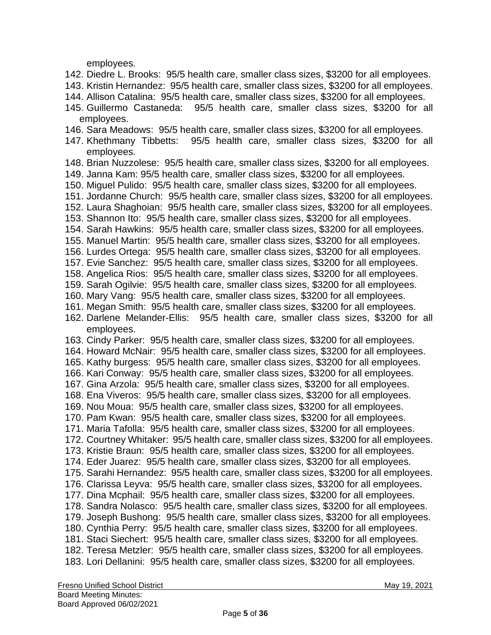employees.

- 142. Diedre L. Brooks: 95/5 health care, smaller class sizes, \$3200 for all employees.
- 143. Kristin Hernandez: 95/5 health care, smaller class sizes, \$3200 for all employees.
- 144. Allison Catalina: 95/5 health care, smaller class sizes, \$3200 for all employees.
- 145. Guillermo Castaneda: 95/5 health care, smaller class sizes, \$3200 for all employees.
- 146. Sara Meadows: 95/5 health care, smaller class sizes, \$3200 for all employees.
- 147. Khethmany Tibbetts: 95/5 health care, smaller class sizes, \$3200 for all employees.
- 148. Brian Nuzzolese: 95/5 health care, smaller class sizes, \$3200 for all employees.
- 149. Janna Kam: 95/5 health care, smaller class sizes, \$3200 for all employees.
- 150. Miguel Pulido: 95/5 health care, smaller class sizes, \$3200 for all employees.
- 151. Jordanne Church: 95/5 health care, smaller class sizes, \$3200 for all employees.
- 152. Laura Shaghoian: 95/5 health care, smaller class sizes, \$3200 for all employees.
- 153. Shannon Ito: 95/5 health care, smaller class sizes, \$3200 for all employees.
- 154. Sarah Hawkins: 95/5 health care, smaller class sizes, \$3200 for all employees.
- 155. Manuel Martin: 95/5 health care, smaller class sizes, \$3200 for all employees.
- 156. Lurdes Ortega: 95/5 health care, smaller class sizes, \$3200 for all employees.
- 157. Evie Sanchez: 95/5 health care, smaller class sizes, \$3200 for all employees.
- 158. Angelica Rios: 95/5 health care, smaller class sizes, \$3200 for all employees.
- 159. Sarah Ogilvie: 95/5 health care, smaller class sizes, \$3200 for all employees.
- 160. Mary Vang: 95/5 health care, smaller class sizes, \$3200 for all employees.
- 161. Megan Smith: 95/5 health care, smaller class sizes, \$3200 for all employees.
- 162. Darlene Melander-Ellis: 95/5 health care, smaller class sizes, \$3200 for all employees.
- 163. Cindy Parker: 95/5 health care, smaller class sizes, \$3200 for all employees.
- 164. Howard McNair: 95/5 health care, smaller class sizes, \$3200 for all employees.
- 165. Kathy burgess: 95/5 health care, smaller class sizes, \$3200 for all employees.
- 166. Kari Conway: 95/5 health care, smaller class sizes, \$3200 for all employees.
- 167. Gina Arzola: 95/5 health care, smaller class sizes, \$3200 for all employees.
- 168. Ena Viveros: 95/5 health care, smaller class sizes, \$3200 for all employees.
- 169. Nou Moua: 95/5 health care, smaller class sizes, \$3200 for all employees.
- 170. Pam Kwan: 95/5 health care, smaller class sizes, \$3200 for all employees.
- 171. Maria Tafolla: 95/5 health care, smaller class sizes, \$3200 for all employees.
- 172. Courtney Whitaker: 95/5 health care, smaller class sizes, \$3200 for all employees.
- 173. Kristie Braun: 95/5 health care, smaller class sizes, \$3200 for all employees.
- 174. Eder Juarez: 95/5 health care, smaller class sizes, \$3200 for all employees.
- 175. Sarahi Hernandez: 95/5 health care, smaller class sizes, \$3200 for all employees.
- 176. Clarissa Leyva: 95/5 health care, smaller class sizes, \$3200 for all employees.
- 177. Dina Mcphail: 95/5 health care, smaller class sizes, \$3200 for all employees.
- 178. Sandra Nolasco: 95/5 health care, smaller class sizes, \$3200 for all employees.
- 179. Joseph Bushong: 95/5 health care, smaller class sizes, \$3200 for all employees.
- 180. Cynthia Perry: 95/5 health care, smaller class sizes, \$3200 for all employees.
- 181. Staci Siechert: 95/5 health care, smaller class sizes, \$3200 for all employees.
- 182. Teresa Metzler: 95/5 health care, smaller class sizes, \$3200 for all employees.
- 183. Lori Dellanini: 95/5 health care, smaller class sizes, \$3200 for all employees.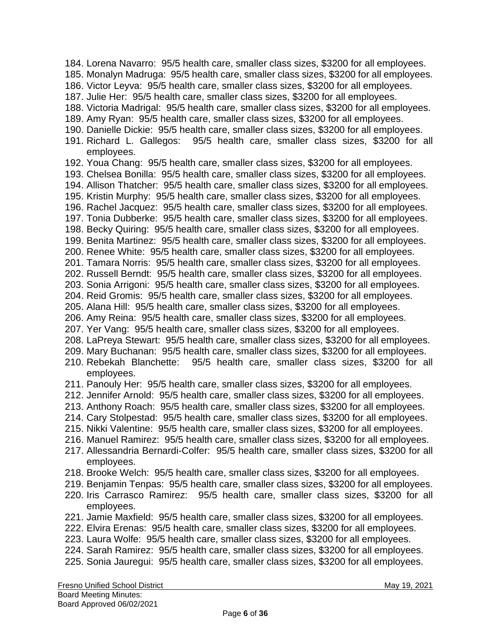184. Lorena Navarro: 95/5 health care, smaller class sizes, \$3200 for all employees. 185. Monalyn Madruga: 95/5 health care, smaller class sizes, \$3200 for all employees. 186. Victor Leyva: 95/5 health care, smaller class sizes, \$3200 for all employees. 187. Julie Her: 95/5 health care, smaller class sizes, \$3200 for all employees. 188. Victoria Madrigal: 95/5 health care, smaller class sizes, \$3200 for all employees. 189. Amy Ryan: 95/5 health care, smaller class sizes, \$3200 for all employees. 190. Danielle Dickie: 95/5 health care, smaller class sizes, \$3200 for all employees. 191. Richard L. Gallegos: 95/5 health care, smaller class sizes, \$3200 for all employees. 192. Youa Chang: 95/5 health care, smaller class sizes, \$3200 for all employees. 193. Chelsea Bonilla: 95/5 health care, smaller class sizes, \$3200 for all employees. 194. Allison Thatcher: 95/5 health care, smaller class sizes, \$3200 for all employees. 195. Kristin Murphy: 95/5 health care, smaller class sizes, \$3200 for all employees. 196. Rachel Jacquez: 95/5 health care, smaller class sizes, \$3200 for all employees. 197. Tonia Dubberke: 95/5 health care, smaller class sizes, \$3200 for all employees. 198. Becky Quiring: 95/5 health care, smaller class sizes, \$3200 for all employees. 199. Benita Martinez: 95/5 health care, smaller class sizes, \$3200 for all employees. 200. Renee White: 95/5 health care, smaller class sizes, \$3200 for all employees. 201. Tamara Norris: 95/5 health care, smaller class sizes, \$3200 for all employees. 202. Russell Berndt: 95/5 health care, smaller class sizes, \$3200 for all employees. 203. Sonia Arrigoni: 95/5 health care, smaller class sizes, \$3200 for all employees. 204. Reid Gromis: 95/5 health care, smaller class sizes, \$3200 for all employees. 205. Alana Hill: 95/5 health care, smaller class sizes, \$3200 for all employees. 206. Amy Reina: 95/5 health care, smaller class sizes, \$3200 for all employees. 207. Yer Vang: 95/5 health care, smaller class sizes, \$3200 for all employees. 208. LaPreya Stewart: 95/5 health care, smaller class sizes, \$3200 for all employees. 209. Mary Buchanan: 95/5 health care, smaller class sizes, \$3200 for all employees. 210. Rebekah Blanchette: 95/5 health care, smaller class sizes, \$3200 for all employees. 211. Panouly Her: 95/5 health care, smaller class sizes, \$3200 for all employees. 212. Jennifer Arnold: 95/5 health care, smaller class sizes, \$3200 for all employees. 213. Anthony Roach: 95/5 health care, smaller class sizes, \$3200 for all employees. 214. Cary Stolpestad: 95/5 health care, smaller class sizes, \$3200 for all employees. 215. Nikki Valentine: 95/5 health care, smaller class sizes, \$3200 for all employees. 216. Manuel Ramirez: 95/5 health care, smaller class sizes, \$3200 for all employees. 217. Allessandria Bernardi-Colfer: 95/5 health care, smaller class sizes, \$3200 for all employees. 218. Brooke Welch: 95/5 health care, smaller class sizes, \$3200 for all employees. 219. Benjamin Tenpas: 95/5 health care, smaller class sizes, \$3200 for all employees. 220. Iris Carrasco Ramirez: 95/5 health care, smaller class sizes, \$3200 for all employees. 221. Jamie Maxfield: 95/5 health care, smaller class sizes, \$3200 for all employees. 222. Elvira Erenas: 95/5 health care, smaller class sizes, \$3200 for all employees. 223. Laura Wolfe: 95/5 health care, smaller class sizes, \$3200 for all employees. 224. Sarah Ramirez: 95/5 health care, smaller class sizes, \$3200 for all employees. 225. Sonia Jauregui: 95/5 health care, smaller class sizes, \$3200 for all employees.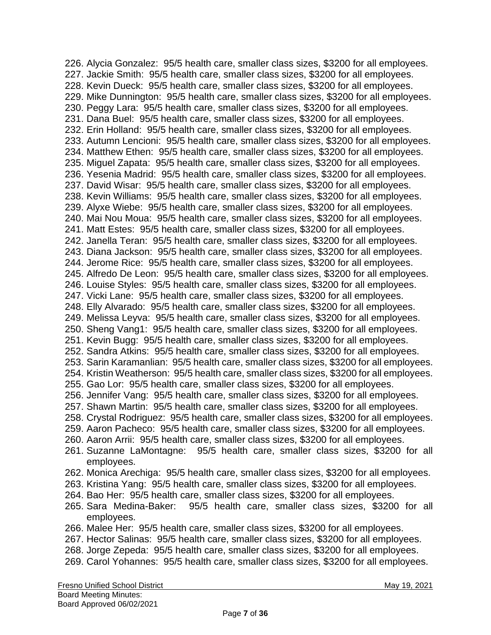226. Alycia Gonzalez: 95/5 health care, smaller class sizes, \$3200 for all employees. 227. Jackie Smith: 95/5 health care, smaller class sizes, \$3200 for all employees. 228. Kevin Dueck: 95/5 health care, smaller class sizes, \$3200 for all employees. 229. Mike Dunnington: 95/5 health care, smaller class sizes, \$3200 for all employees. 230. Peggy Lara: 95/5 health care, smaller class sizes, \$3200 for all employees. 231. Dana Buel: 95/5 health care, smaller class sizes, \$3200 for all employees. 232. Erin Holland: 95/5 health care, smaller class sizes, \$3200 for all employees. 233. Autumn Lencioni: 95/5 health care, smaller class sizes, \$3200 for all employees. 234. Matthew Ethen: 95/5 health care, smaller class sizes, \$3200 for all employees. 235. Miguel Zapata: 95/5 health care, smaller class sizes, \$3200 for all employees. 236. Yesenia Madrid: 95/5 health care, smaller class sizes, \$3200 for all employees. 237. David Wisar: 95/5 health care, smaller class sizes, \$3200 for all employees. 238. Kevin Williams: 95/5 health care, smaller class sizes, \$3200 for all employees. 239. Alyxe Wiebe: 95/5 health care, smaller class sizes, \$3200 for all employees. 240. Mai Nou Moua: 95/5 health care, smaller class sizes, \$3200 for all employees. 241. Matt Estes: 95/5 health care, smaller class sizes, \$3200 for all employees. 242. Janella Teran: 95/5 health care, smaller class sizes, \$3200 for all employees. 243. Diana Jackson: 95/5 health care, smaller class sizes, \$3200 for all employees. 244. Jerome Rice: 95/5 health care, smaller class sizes, \$3200 for all employees. 245. Alfredo De Leon: 95/5 health care, smaller class sizes, \$3200 for all employees. 246. Louise Styles: 95/5 health care, smaller class sizes, \$3200 for all employees. 247. Vicki Lane: 95/5 health care, smaller class sizes, \$3200 for all employees. 248. Elly Alvarado: 95/5 health care, smaller class sizes, \$3200 for all employees. 249. Melissa Leyva: 95/5 health care, smaller class sizes, \$3200 for all employees. 250. Sheng Vang1: 95/5 health care, smaller class sizes, \$3200 for all employees. 251. Kevin Bugg: 95/5 health care, smaller class sizes, \$3200 for all employees. 252. Sandra Atkins: 95/5 health care, smaller class sizes, \$3200 for all employees. 253. Sarin Karamanlian: 95/5 health care, smaller class sizes, \$3200 for all employees. 254. Kristin Weatherson: 95/5 health care, smaller class sizes, \$3200 for all employees. 255. Gao Lor: 95/5 health care, smaller class sizes, \$3200 for all employees. 256. Jennifer Vang: 95/5 health care, smaller class sizes, \$3200 for all employees. 257. Shawn Martin: 95/5 health care, smaller class sizes, \$3200 for all employees. 258. Crystal Rodriguez: 95/5 health care, smaller class sizes, \$3200 for all employees. 259. Aaron Pacheco: 95/5 health care, smaller class sizes, \$3200 for all employees. 260. Aaron Arrii: 95/5 health care, smaller class sizes, \$3200 for all employees. 261. Suzanne LaMontagne: 95/5 health care, smaller class sizes, \$3200 for all employees. 262. Monica Arechiga: 95/5 health care, smaller class sizes, \$3200 for all employees. 263. Kristina Yang: 95/5 health care, smaller class sizes, \$3200 for all employees. 264. Bao Her: 95/5 health care, smaller class sizes, \$3200 for all employees. 265. Sara Medina-Baker: 95/5 health care, smaller class sizes, \$3200 for all employees. 266. Malee Her: 95/5 health care, smaller class sizes, \$3200 for all employees. 267. Hector Salinas: 95/5 health care, smaller class sizes, \$3200 for all employees. 268. Jorge Zepeda: 95/5 health care, smaller class sizes, \$3200 for all employees. 269. Carol Yohannes: 95/5 health care, smaller class sizes, \$3200 for all employees.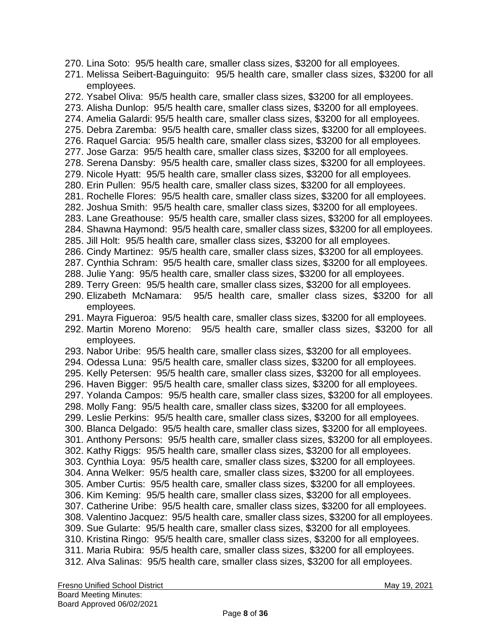- 270. Lina Soto: 95/5 health care, smaller class sizes, \$3200 for all employees.
- 271. Melissa Seibert-Baguinguito: 95/5 health care, smaller class sizes, \$3200 for all employees.
- 272. Ysabel Oliva: 95/5 health care, smaller class sizes, \$3200 for all employees.
- 273. Alisha Dunlop: 95/5 health care, smaller class sizes, \$3200 for all employees.
- 274. Amelia Galardi: 95/5 health care, smaller class sizes, \$3200 for all employees.
- 275. Debra Zaremba: 95/5 health care, smaller class sizes, \$3200 for all employees.
- 276. Raquel Garcia: 95/5 health care, smaller class sizes, \$3200 for all employees.
- 277. Jose Garza: 95/5 health care, smaller class sizes, \$3200 for all employees.
- 278. Serena Dansby: 95/5 health care, smaller class sizes, \$3200 for all employees.
- 279. Nicole Hyatt: 95/5 health care, smaller class sizes, \$3200 for all employees.
- 280. Erin Pullen: 95/5 health care, smaller class sizes, \$3200 for all employees.
- 281. Rochelle Flores: 95/5 health care, smaller class sizes, \$3200 for all employees.
- 282. Joshua Smith: 95/5 health care, smaller class sizes, \$3200 for all employees.
- 283. Lane Greathouse: 95/5 health care, smaller class sizes, \$3200 for all employees.
- 284. Shawna Haymond: 95/5 health care, smaller class sizes, \$3200 for all employees.
- 285. Jill Holt: 95/5 health care, smaller class sizes, \$3200 for all employees.
- 286. Cindy Martinez: 95/5 health care, smaller class sizes, \$3200 for all employees.
- 287. Cynthia Schram: 95/5 health care, smaller class sizes, \$3200 for all employees.
- 288. Julie Yang: 95/5 health care, smaller class sizes, \$3200 for all employees.
- 289. Terry Green: 95/5 health care, smaller class sizes, \$3200 for all employees.
- 290. Elizabeth McNamara: 95/5 health care, smaller class sizes, \$3200 for all employees.
- 291. Mayra Figueroa: 95/5 health care, smaller class sizes, \$3200 for all employees.
- 292. Martin Moreno Moreno: 95/5 health care, smaller class sizes, \$3200 for all employees.
- 293. Nabor Uribe: 95/5 health care, smaller class sizes, \$3200 for all employees.
- 294. Odessa Luna: 95/5 health care, smaller class sizes, \$3200 for all employees.
- 295. Kelly Petersen: 95/5 health care, smaller class sizes, \$3200 for all employees.
- 296. Haven Bigger: 95/5 health care, smaller class sizes, \$3200 for all employees.
- 297. Yolanda Campos: 95/5 health care, smaller class sizes, \$3200 for all employees.
- 298. Molly Fang: 95/5 health care, smaller class sizes, \$3200 for all employees.
- 299. Leslie Perkins: 95/5 health care, smaller class sizes, \$3200 for all employees.
- 300. Blanca Delgado: 95/5 health care, smaller class sizes, \$3200 for all employees.
- 301. Anthony Persons: 95/5 health care, smaller class sizes, \$3200 for all employees.
- 302. Kathy Riggs: 95/5 health care, smaller class sizes, \$3200 for all employees.
- 303. Cynthia Loya: 95/5 health care, smaller class sizes, \$3200 for all employees.
- 304. Anna Welker: 95/5 health care, smaller class sizes, \$3200 for all employees.
- 305. Amber Curtis: 95/5 health care, smaller class sizes, \$3200 for all employees.
- 306. Kim Keming: 95/5 health care, smaller class sizes, \$3200 for all employees.
- 307. Catherine Uribe: 95/5 health care, smaller class sizes, \$3200 for all employees. 308. Valentino Jacquez: 95/5 health care, smaller class sizes, \$3200 for all employees.
- 309. Sue Gularte: 95/5 health care, smaller class sizes, \$3200 for all employees.
- 310. Kristina Ringo: 95/5 health care, smaller class sizes, \$3200 for all employees.
- 311. Maria Rubira: 95/5 health care, smaller class sizes, \$3200 for all employees.
- 312. Alva Salinas: 95/5 health care, smaller class sizes, \$3200 for all employees.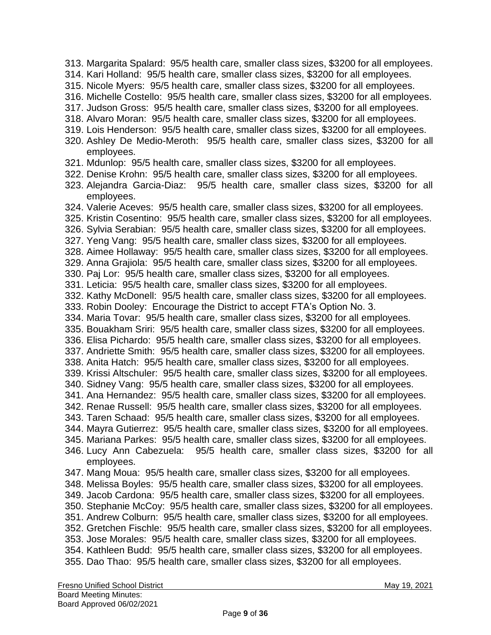313. Margarita Spalard: 95/5 health care, smaller class sizes, \$3200 for all employees. 314. Kari Holland: 95/5 health care, smaller class sizes, \$3200 for all employees. 315. Nicole Myers: 95/5 health care, smaller class sizes, \$3200 for all employees. 316. Michelle Costello: 95/5 health care, smaller class sizes, \$3200 for all employees. 317. Judson Gross: 95/5 health care, smaller class sizes, \$3200 for all employees. 318. Alvaro Moran: 95/5 health care, smaller class sizes, \$3200 for all employees. 319. Lois Henderson: 95/5 health care, smaller class sizes, \$3200 for all employees. 320. Ashley De Medio-Meroth: 95/5 health care, smaller class sizes, \$3200 for all employees. 321. Mdunlop: 95/5 health care, smaller class sizes, \$3200 for all employees. 322. Denise Krohn: 95/5 health care, smaller class sizes, \$3200 for all employees. 323. Alejandra Garcia-Diaz: 95/5 health care, smaller class sizes, \$3200 for all employees. 324. Valerie Aceves: 95/5 health care, smaller class sizes, \$3200 for all employees. 325. Kristin Cosentino: 95/5 health care, smaller class sizes, \$3200 for all employees. 326. Sylvia Serabian: 95/5 health care, smaller class sizes, \$3200 for all employees. 327. Yeng Vang: 95/5 health care, smaller class sizes, \$3200 for all employees. 328. Aimee Hollaway: 95/5 health care, smaller class sizes, \$3200 for all employees. 329. Anna Grajiola: 95/5 health care, smaller class sizes, \$3200 for all employees. 330. Paj Lor: 95/5 health care, smaller class sizes, \$3200 for all employees. 331. Leticia: 95/5 health care, smaller class sizes, \$3200 for all employees. 332. Kathy McDonell: 95/5 health care, smaller class sizes, \$3200 for all employees. 333. Robin Dooley: Encourage the District to accept FTA's Option No. 3. 334. Maria Tovar: 95/5 health care, smaller class sizes, \$3200 for all employees. 335. Bouakham Sriri: 95/5 health care, smaller class sizes, \$3200 for all employees. 336. Elisa Pichardo: 95/5 health care, smaller class sizes, \$3200 for all employees. 337. Andriette Smith: 95/5 health care, smaller class sizes, \$3200 for all employees. 338. Anita Hatch: 95/5 health care, smaller class sizes, \$3200 for all employees. 339. Krissi Altschuler: 95/5 health care, smaller class sizes, \$3200 for all employees. 340. Sidney Vang: 95/5 health care, smaller class sizes, \$3200 for all employees. 341. Ana Hernandez: 95/5 health care, smaller class sizes, \$3200 for all employees. 342. Renae Russell: 95/5 health care, smaller class sizes, \$3200 for all employees. 343. Taren Schaad: 95/5 health care, smaller class sizes, \$3200 for all employees. 344. Mayra Gutierrez: 95/5 health care, smaller class sizes, \$3200 for all employees. 345. Mariana Parkes: 95/5 health care, smaller class sizes, \$3200 for all employees. 346. Lucy Ann Cabezuela: 95/5 health care, smaller class sizes, \$3200 for all employees. 347. Mang Moua: 95/5 health care, smaller class sizes, \$3200 for all employees. 348. Melissa Boyles: 95/5 health care, smaller class sizes, \$3200 for all employees. 349. Jacob Cardona: 95/5 health care, smaller class sizes, \$3200 for all employees. 350. Stephanie McCoy: 95/5 health care, smaller class sizes, \$3200 for all employees. 351. Andrew Colburn: 95/5 health care, smaller class sizes, \$3200 for all employees. 352. Gretchen Fischle: 95/5 health care, smaller class sizes, \$3200 for all employees. 353. Jose Morales: 95/5 health care, smaller class sizes, \$3200 for all employees. 354. Kathleen Budd: 95/5 health care, smaller class sizes, \$3200 for all employees. 355. Dao Thao: 95/5 health care, smaller class sizes, \$3200 for all employees.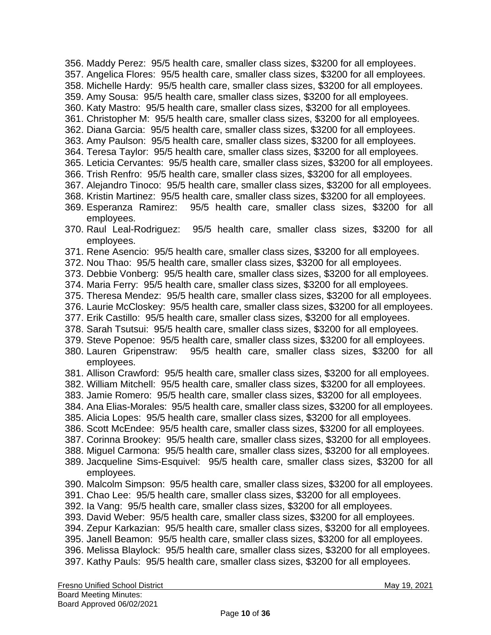- 356. Maddy Perez: 95/5 health care, smaller class sizes, \$3200 for all employees.
- 357. Angelica Flores: 95/5 health care, smaller class sizes, \$3200 for all employees.
- 358. Michelle Hardy: 95/5 health care, smaller class sizes, \$3200 for all employees.
- 359. Amy Sousa: 95/5 health care, smaller class sizes, \$3200 for all employees.
- 360. Katy Mastro: 95/5 health care, smaller class sizes, \$3200 for all employees.
- 361. Christopher M: 95/5 health care, smaller class sizes, \$3200 for all employees.
- 362. Diana Garcia: 95/5 health care, smaller class sizes, \$3200 for all employees.
- 363. Amy Paulson: 95/5 health care, smaller class sizes, \$3200 for all employees.
- 364. Teresa Taylor: 95/5 health care, smaller class sizes, \$3200 for all employees.
- 365. Leticia Cervantes: 95/5 health care, smaller class sizes, \$3200 for all employees.
- 366. Trish Renfro: 95/5 health care, smaller class sizes, \$3200 for all employees.
- 367. Alejandro Tinoco: 95/5 health care, smaller class sizes, \$3200 for all employees.
- 368. Kristin Martinez: 95/5 health care, smaller class sizes, \$3200 for all employees.
- 369. Esperanza Ramirez: 95/5 health care, smaller class sizes, \$3200 for all employees.
- 370. Raul Leal-Rodriguez: 95/5 health care, smaller class sizes, \$3200 for all employees.
- 371. Rene Asencio: 95/5 health care, smaller class sizes, \$3200 for all employees.
- 372. Nou Thao: 95/5 health care, smaller class sizes, \$3200 for all employees.
- 373. Debbie Vonberg: 95/5 health care, smaller class sizes, \$3200 for all employees.
- 374. Maria Ferry: 95/5 health care, smaller class sizes, \$3200 for all employees.
- 375. Theresa Mendez: 95/5 health care, smaller class sizes, \$3200 for all employees.
- 376. Laurie McCloskey: 95/5 health care, smaller class sizes, \$3200 for all employees.
- 377. Erik Castillo: 95/5 health care, smaller class sizes, \$3200 for all employees.
- 378. Sarah Tsutsui: 95/5 health care, smaller class sizes, \$3200 for all employees.
- 379. Steve Popenoe: 95/5 health care, smaller class sizes, \$3200 for all employees.
- 380. Lauren Gripenstraw: 95/5 health care, smaller class sizes, \$3200 for all employees.
- 381. Allison Crawford: 95/5 health care, smaller class sizes, \$3200 for all employees.
- 382. William Mitchell: 95/5 health care, smaller class sizes, \$3200 for all employees.
- 383. Jamie Romero: 95/5 health care, smaller class sizes, \$3200 for all employees.
- 384. Ana Elias-Morales: 95/5 health care, smaller class sizes, \$3200 for all employees.
- 385. Alicia Lopes: 95/5 health care, smaller class sizes, \$3200 for all employees.
- 386. Scott McEndee: 95/5 health care, smaller class sizes, \$3200 for all employees.
- 387. Corinna Brookey: 95/5 health care, smaller class sizes, \$3200 for all employees.
- 388. Miguel Carmona: 95/5 health care, smaller class sizes, \$3200 for all employees.
- 389. Jacqueline Sims-Esquivel: 95/5 health care, smaller class sizes, \$3200 for all employees.
- 390. Malcolm Simpson: 95/5 health care, smaller class sizes, \$3200 for all employees.
- 391. Chao Lee: 95/5 health care, smaller class sizes, \$3200 for all employees.
- 392. Ia Vang: 95/5 health care, smaller class sizes, \$3200 for all employees.
- 393. David Weber: 95/5 health care, smaller class sizes, \$3200 for all employees.
- 394. Zepur Karkazian: 95/5 health care, smaller class sizes, \$3200 for all employees.
- 395. Janell Beamon: 95/5 health care, smaller class sizes, \$3200 for all employees.
- 396. Melissa Blaylock: 95/5 health care, smaller class sizes, \$3200 for all employees.
- 397. Kathy Pauls: 95/5 health care, smaller class sizes, \$3200 for all employees.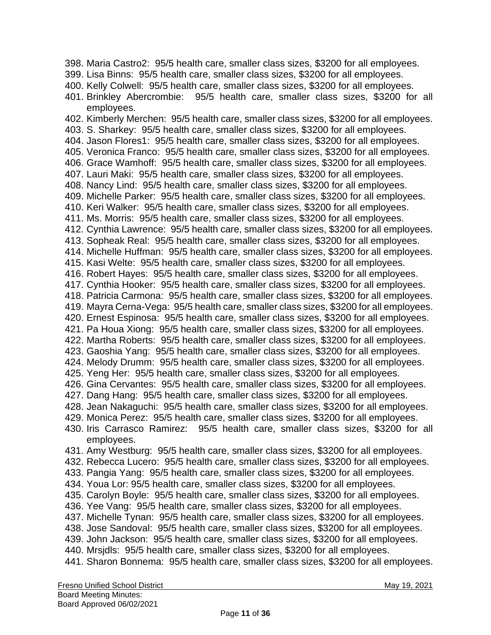398. Maria Castro2: 95/5 health care, smaller class sizes, \$3200 for all employees. 399. Lisa Binns: 95/5 health care, smaller class sizes, \$3200 for all employees. 400. Kelly Colwell: 95/5 health care, smaller class sizes, \$3200 for all employees. 401. Brinkley Abercrombie: 95/5 health care, smaller class sizes, \$3200 for all employees. 402. Kimberly Merchen: 95/5 health care, smaller class sizes, \$3200 for all employees. 403. S. Sharkey: 95/5 health care, smaller class sizes, \$3200 for all employees. 404. Jason Flores1: 95/5 health care, smaller class sizes, \$3200 for all employees. 405. Veronica Franco: 95/5 health care, smaller class sizes, \$3200 for all employees. 406. Grace Wamhoff: 95/5 health care, smaller class sizes, \$3200 for all employees. 407. Lauri Maki: 95/5 health care, smaller class sizes, \$3200 for all employees. 408. Nancy Lind: 95/5 health care, smaller class sizes, \$3200 for all employees. 409. Michelle Parker: 95/5 health care, smaller class sizes, \$3200 for all employees. 410. Keri Walker: 95/5 health care, smaller class sizes, \$3200 for all employees. 411. Ms. Morris: 95/5 health care, smaller class sizes, \$3200 for all employees. 412. Cynthia Lawrence: 95/5 health care, smaller class sizes, \$3200 for all employees. 413. Sopheak Real: 95/5 health care, smaller class sizes, \$3200 for all employees. 414. Michelle Huffman: 95/5 health care, smaller class sizes, \$3200 for all employees. 415. Kasi Welte: 95/5 health care, smaller class sizes, \$3200 for all employees. 416. Robert Hayes: 95/5 health care, smaller class sizes, \$3200 for all employees. 417. Cynthia Hooker: 95/5 health care, smaller class sizes, \$3200 for all employees. 418. Patricia Carmona: 95/5 health care, smaller class sizes, \$3200 for all employees. 419. Mayra Cerna-Vega: 95/5 health care, smaller class sizes, \$3200 for all employees. 420. Ernest Espinosa: 95/5 health care, smaller class sizes, \$3200 for all employees. 421. Pa Houa Xiong: 95/5 health care, smaller class sizes, \$3200 for all employees. 422. Martha Roberts: 95/5 health care, smaller class sizes, \$3200 for all employees. 423. Gaoshia Yang: 95/5 health care, smaller class sizes, \$3200 for all employees. 424. Melody Drumm: 95/5 health care, smaller class sizes, \$3200 for all employees. 425. Yeng Her: 95/5 health care, smaller class sizes, \$3200 for all employees. 426. Gina Cervantes: 95/5 health care, smaller class sizes, \$3200 for all employees. 427. Dang Hang: 95/5 health care, smaller class sizes, \$3200 for all employees. 428. Jean Nakaguchi: 95/5 health care, smaller class sizes, \$3200 for all employees. 429. Monica Perez: 95/5 health care, smaller class sizes, \$3200 for all employees. 430. Iris Carrasco Ramirez: 95/5 health care, smaller class sizes, \$3200 for all employees. 431. Amy Westburg: 95/5 health care, smaller class sizes, \$3200 for all employees. 432. Rebecca Lucero: 95/5 health care, smaller class sizes, \$3200 for all employees. 433. Pangia Yang: 95/5 health care, smaller class sizes, \$3200 for all employees. 434. Youa Lor: 95/5 health care, smaller class sizes, \$3200 for all employees. 435. Carolyn Boyle: 95/5 health care, smaller class sizes, \$3200 for all employees. 436. Yee Vang: 95/5 health care, smaller class sizes, \$3200 for all employees. 437. Michelle Tynan: 95/5 health care, smaller class sizes, \$3200 for all employees. 438. Jose Sandoval: 95/5 health care, smaller class sizes, \$3200 for all employees. 439. John Jackson: 95/5 health care, smaller class sizes, \$3200 for all employees. 440. Mrsjdls: 95/5 health care, smaller class sizes, \$3200 for all employees. 441. Sharon Bonnema: 95/5 health care, smaller class sizes, \$3200 for all employees.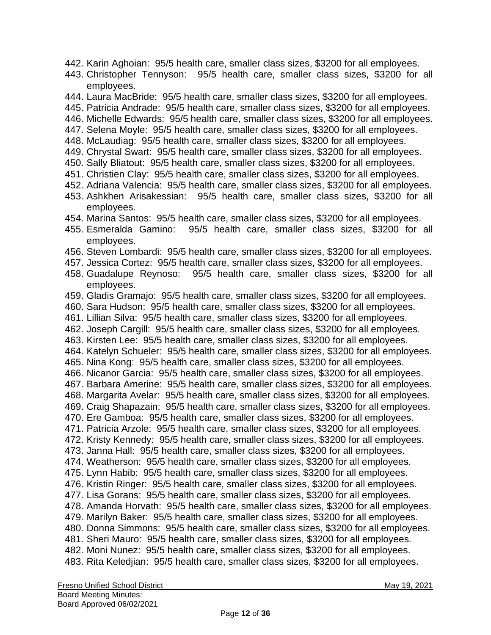- 442. Karin Aghoian: 95/5 health care, smaller class sizes, \$3200 for all employees.
- 443. Christopher Tennyson: 95/5 health care, smaller class sizes, \$3200 for all employees.
- 444. Laura MacBride: 95/5 health care, smaller class sizes, \$3200 for all employees.
- 445. Patricia Andrade: 95/5 health care, smaller class sizes, \$3200 for all employees.
- 446. Michelle Edwards: 95/5 health care, smaller class sizes, \$3200 for all employees.
- 447. Selena Moyle: 95/5 health care, smaller class sizes, \$3200 for all employees.
- 448. McLaudiag: 95/5 health care, smaller class sizes, \$3200 for all employees.
- 449. Chrystal Swart: 95/5 health care, smaller class sizes, \$3200 for all employees.
- 450. Sally Bliatout: 95/5 health care, smaller class sizes, \$3200 for all employees.
- 451. Christien Clay: 95/5 health care, smaller class sizes, \$3200 for all employees.
- 452. Adriana Valencia: 95/5 health care, smaller class sizes, \$3200 for all employees.
- 453. Ashkhen Arisakessian: 95/5 health care, smaller class sizes, \$3200 for all employees.
- 454. Marina Santos: 95/5 health care, smaller class sizes, \$3200 for all employees.
- 455. Esmeralda Gamino: 95/5 health care, smaller class sizes, \$3200 for all employees.
- 456. Steven Lombardi: 95/5 health care, smaller class sizes, \$3200 for all employees.
- 457. Jessica Cortez: 95/5 health care, smaller class sizes, \$3200 for all employees.
- 458. Guadalupe Reynoso: 95/5 health care, smaller class sizes, \$3200 for all employees.
- 459. Gladis Gramajo: 95/5 health care, smaller class sizes, \$3200 for all employees.
- 460. Sara Hudson: 95/5 health care, smaller class sizes, \$3200 for all employees.
- 461. Lillian Silva: 95/5 health care, smaller class sizes, \$3200 for all employees.
- 462. Joseph Cargill: 95/5 health care, smaller class sizes, \$3200 for all employees.
- 463. Kirsten Lee: 95/5 health care, smaller class sizes, \$3200 for all employees.
- 464. Katelyn Schueler: 95/5 health care, smaller class sizes, \$3200 for all employees.
- 465. Nina Kong: 95/5 health care, smaller class sizes, \$3200 for all employees.
- 466. Nicanor Garcia: 95/5 health care, smaller class sizes, \$3200 for all employees.
- 467. Barbara Amerine: 95/5 health care, smaller class sizes, \$3200 for all employees.
- 468. Margarita Avelar: 95/5 health care, smaller class sizes, \$3200 for all employees. 469. Craig Shapazain: 95/5 health care, smaller class sizes, \$3200 for all employees.
- 470. Ere Gamboa: 95/5 health care, smaller class sizes, \$3200 for all employees.
- 471. Patricia Arzole: 95/5 health care, smaller class sizes, \$3200 for all employees.
- 472. Kristy Kennedy: 95/5 health care, smaller class sizes, \$3200 for all employees.
- 473. Janna Hall: 95/5 health care, smaller class sizes, \$3200 for all employees.
- 474. Weatherson: 95/5 health care, smaller class sizes, \$3200 for all employees.
- 475. Lynn Habib: 95/5 health care, smaller class sizes, \$3200 for all employees.
- 476. Kristin Ringer: 95/5 health care, smaller class sizes, \$3200 for all employees.
- 477. Lisa Gorans: 95/5 health care, smaller class sizes, \$3200 for all employees.
- 478. Amanda Horvath: 95/5 health care, smaller class sizes, \$3200 for all employees.
- 479. Marilyn Baker: 95/5 health care, smaller class sizes, \$3200 for all employees.
- 480. Donna Simmons: 95/5 health care, smaller class sizes, \$3200 for all employees.
- 481. Sheri Mauro: 95/5 health care, smaller class sizes, \$3200 for all employees.
- 482. Moni Nunez: 95/5 health care, smaller class sizes, \$3200 for all employees. 483. Rita Keledjian: 95/5 health care, smaller class sizes, \$3200 for all employees.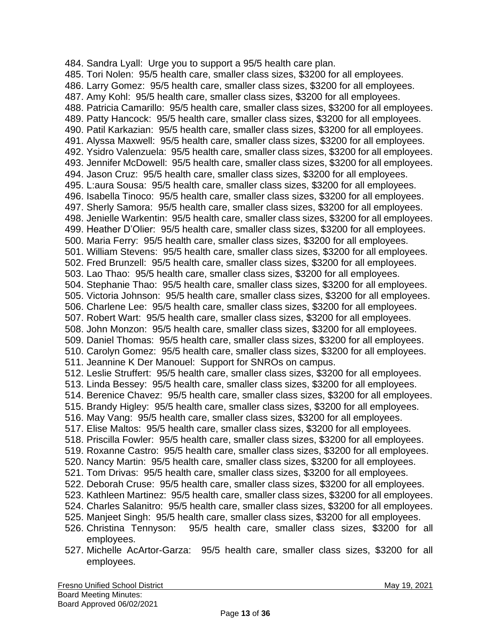484. Sandra Lyall: Urge you to support a 95/5 health care plan. 485. Tori Nolen: 95/5 health care, smaller class sizes, \$3200 for all employees. 486. Larry Gomez: 95/5 health care, smaller class sizes, \$3200 for all employees. 487. Amy Kohl: 95/5 health care, smaller class sizes, \$3200 for all employees. 488. Patricia Camarillo: 95/5 health care, smaller class sizes, \$3200 for all employees. 489. Patty Hancock: 95/5 health care, smaller class sizes, \$3200 for all employees. 490. Patil Karkazian: 95/5 health care, smaller class sizes, \$3200 for all employees. 491. Alyssa Maxwell: 95/5 health care, smaller class sizes, \$3200 for all employees. 492. Ysidro Valenzuela: 95/5 health care, smaller class sizes, \$3200 for all employees. 493. Jennifer McDowell: 95/5 health care, smaller class sizes, \$3200 for all employees. 494. Jason Cruz: 95/5 health care, smaller class sizes, \$3200 for all employees. 495. L:aura Sousa: 95/5 health care, smaller class sizes, \$3200 for all employees. 496. Isabella Tinoco: 95/5 health care, smaller class sizes, \$3200 for all employees. 497. Sherly Samora: 95/5 health care, smaller class sizes, \$3200 for all employees. 498. Jenielle Warkentin: 95/5 health care, smaller class sizes, \$3200 for all employees. 499. Heather D'Olier: 95/5 health care, smaller class sizes, \$3200 for all employees. 500. Maria Ferry: 95/5 health care, smaller class sizes, \$3200 for all employees. 501. William Stevens: 95/5 health care, smaller class sizes, \$3200 for all employees. 502. Fred Brunzell: 95/5 health care, smaller class sizes, \$3200 for all employees. 503. Lao Thao: 95/5 health care, smaller class sizes, \$3200 for all employees. 504. Stephanie Thao: 95/5 health care, smaller class sizes, \$3200 for all employees. 505. Victoria Johnson: 95/5 health care, smaller class sizes, \$3200 for all employees. 506. Charlene Lee: 95/5 health care, smaller class sizes, \$3200 for all employees. 507. Robert Wart: 95/5 health care, smaller class sizes, \$3200 for all employees. 508. John Monzon: 95/5 health care, smaller class sizes, \$3200 for all employees. 509. Daniel Thomas: 95/5 health care, smaller class sizes, \$3200 for all employees. 510. Carolyn Gomez: 95/5 health care, smaller class sizes, \$3200 for all employees. 511. Jeannine K Der Manouel: Support for SNROs on campus. 512. Leslie Struffert: 95/5 health care, smaller class sizes, \$3200 for all employees. 513. Linda Bessey: 95/5 health care, smaller class sizes, \$3200 for all employees. 514. Berenice Chavez: 95/5 health care, smaller class sizes, \$3200 for all employees. 515. Brandy Higley: 95/5 health care, smaller class sizes, \$3200 for all employees. 516. May Vang: 95/5 health care, smaller class sizes, \$3200 for all employees. 517. Elise Maltos: 95/5 health care, smaller class sizes, \$3200 for all employees. 518. Priscilla Fowler: 95/5 health care, smaller class sizes, \$3200 for all employees. 519. Roxanne Castro: 95/5 health care, smaller class sizes, \$3200 for all employees. 520. Nancy Martin: 95/5 health care, smaller class sizes, \$3200 for all employees. 521. Tom Drivas: 95/5 health care, smaller class sizes, \$3200 for all employees. 522. Deborah Cruse: 95/5 health care, smaller class sizes, \$3200 for all employees. 523. Kathleen Martinez: 95/5 health care, smaller class sizes, \$3200 for all employees. 524. Charles Salanitro: 95/5 health care, smaller class sizes, \$3200 for all employees. 525. Manjeet Singh: 95/5 health care, smaller class sizes, \$3200 for all employees. 526. Christina Tennyson: 95/5 health care, smaller class sizes, \$3200 for all employees.

527. Michelle AcArtor-Garza: 95/5 health care, smaller class sizes, \$3200 for all employees.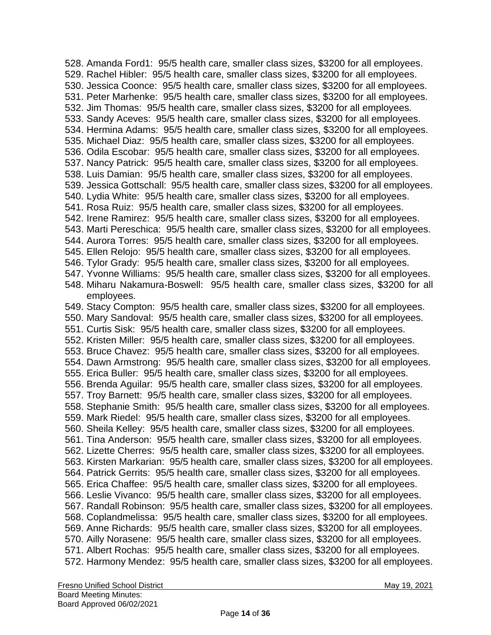528. Amanda Ford1: 95/5 health care, smaller class sizes, \$3200 for all employees. 529. Rachel Hibler: 95/5 health care, smaller class sizes, \$3200 for all employees. 530. Jessica Coonce: 95/5 health care, smaller class sizes, \$3200 for all employees. 531. Peter Marhenke: 95/5 health care, smaller class sizes, \$3200 for all employees. 532. Jim Thomas: 95/5 health care, smaller class sizes, \$3200 for all employees. 533. Sandy Aceves: 95/5 health care, smaller class sizes, \$3200 for all employees. 534. Hermina Adams: 95/5 health care, smaller class sizes, \$3200 for all employees. 535. Michael Diaz: 95/5 health care, smaller class sizes, \$3200 for all employees. 536. Odila Escobar: 95/5 health care, smaller class sizes, \$3200 for all employees. 537. Nancy Patrick: 95/5 health care, smaller class sizes, \$3200 for all employees. 538. Luis Damian: 95/5 health care, smaller class sizes, \$3200 for all employees. 539. Jessica Gottschall: 95/5 health care, smaller class sizes, \$3200 for all employees. 540. Lydia White: 95/5 health care, smaller class sizes, \$3200 for all employees. 541. Rosa Ruiz: 95/5 health care, smaller class sizes, \$3200 for all employees. 542. Irene Ramirez: 95/5 health care, smaller class sizes, \$3200 for all employees. 543. Marti Pereschica: 95/5 health care, smaller class sizes, \$3200 for all employees. 544. Aurora Torres: 95/5 health care, smaller class sizes, \$3200 for all employees. 545. Ellen Relojo: 95/5 health care, smaller class sizes, \$3200 for all employees. 546. Tylor Grady: 95/5 health care, smaller class sizes, \$3200 for all employees. 547. Yvonne Williams: 95/5 health care, smaller class sizes, \$3200 for all employees. 548. Miharu Nakamura-Boswell: 95/5 health care, smaller class sizes, \$3200 for all employees. 549. Stacy Compton: 95/5 health care, smaller class sizes, \$3200 for all employees. 550. Mary Sandoval: 95/5 health care, smaller class sizes, \$3200 for all employees. 551. Curtis Sisk: 95/5 health care, smaller class sizes, \$3200 for all employees. 552. Kristen Miller: 95/5 health care, smaller class sizes, \$3200 for all employees. 553. Bruce Chavez: 95/5 health care, smaller class sizes, \$3200 for all employees. 554. Dawn Armstrong: 95/5 health care, smaller class sizes, \$3200 for all employees. 555. Erica Buller: 95/5 health care, smaller class sizes, \$3200 for all employees. 556. Brenda Aguilar: 95/5 health care, smaller class sizes, \$3200 for all employees. 557. Troy Barnett: 95/5 health care, smaller class sizes, \$3200 for all employees. 558. Stephanie Smith: 95/5 health care, smaller class sizes, \$3200 for all employees. 559. Mark Riedel: 95/5 health care, smaller class sizes, \$3200 for all employees. 560. Sheila Kelley: 95/5 health care, smaller class sizes, \$3200 for all employees. 561. Tina Anderson: 95/5 health care, smaller class sizes, \$3200 for all employees. 562. Lizette Cherres: 95/5 health care, smaller class sizes, \$3200 for all employees. 563. Kirsten Markarian: 95/5 health care, smaller class sizes, \$3200 for all employees. 564. Patrick Gerrits: 95/5 health care, smaller class sizes, \$3200 for all employees. 565. Erica Chaffee: 95/5 health care, smaller class sizes, \$3200 for all employees. 566. Leslie Vivanco: 95/5 health care, smaller class sizes, \$3200 for all employees. 567. Randall Robinson: 95/5 health care, smaller class sizes, \$3200 for all employees. 568. Coplandmelissa: 95/5 health care, smaller class sizes, \$3200 for all employees. 569. Anne Richards: 95/5 health care, smaller class sizes, \$3200 for all employees. 570. Ailly Norasene: 95/5 health care, smaller class sizes, \$3200 for all employees. 571. Albert Rochas: 95/5 health care, smaller class sizes, \$3200 for all employees. 572. Harmony Mendez: 95/5 health care, smaller class sizes, \$3200 for all employees.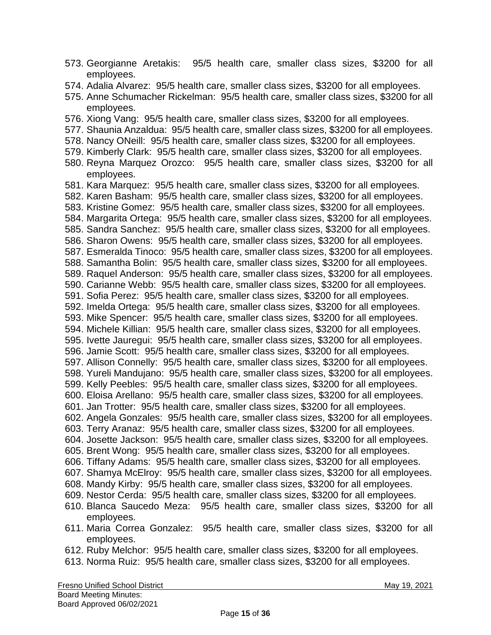- 573. Georgianne Aretakis: 95/5 health care, smaller class sizes, \$3200 for all employees.
- 574. Adalia Alvarez: 95/5 health care, smaller class sizes, \$3200 for all employees.
- 575. Anne Schumacher Rickelman: 95/5 health care, smaller class sizes, \$3200 for all employees.
- 576. Xiong Vang: 95/5 health care, smaller class sizes, \$3200 for all employees.
- 577. Shaunia Anzaldua: 95/5 health care, smaller class sizes, \$3200 for all employees.
- 578. Nancy ONeill: 95/5 health care, smaller class sizes, \$3200 for all employees.
- 579. Kimberly Clark: 95/5 health care, smaller class sizes, \$3200 for all employees.
- 580. Reyna Marquez Orozco: 95/5 health care, smaller class sizes, \$3200 for all employees.
- 581. Kara Marquez: 95/5 health care, smaller class sizes, \$3200 for all employees.
- 582. Karen Basham: 95/5 health care, smaller class sizes, \$3200 for all employees.
- 583. Kristine Gomez: 95/5 health care, smaller class sizes, \$3200 for all employees.
- 584. Margarita Ortega: 95/5 health care, smaller class sizes, \$3200 for all employees.
- 585. Sandra Sanchez: 95/5 health care, smaller class sizes, \$3200 for all employees.
- 586. Sharon Owens: 95/5 health care, smaller class sizes, \$3200 for all employees.
- 587. Esmeralda Tinoco: 95/5 health care, smaller class sizes, \$3200 for all employees.
- 588. Samantha Bolin: 95/5 health care, smaller class sizes, \$3200 for all employees.
- 589. Raquel Anderson: 95/5 health care, smaller class sizes, \$3200 for all employees.
- 590. Carianne Webb: 95/5 health care, smaller class sizes, \$3200 for all employees.
- 591. Sofia Perez: 95/5 health care, smaller class sizes, \$3200 for all employees.
- 592. Imelda Ortega: 95/5 health care, smaller class sizes, \$3200 for all employees.
- 593. Mike Spencer: 95/5 health care, smaller class sizes, \$3200 for all employees.
- 594. Michele Killian: 95/5 health care, smaller class sizes, \$3200 for all employees.
- 595. Ivette Jauregui: 95/5 health care, smaller class sizes, \$3200 for all employees.
- 596. Jamie Scott: 95/5 health care, smaller class sizes, \$3200 for all employees.
- 597. Allison Connelly: 95/5 health care, smaller class sizes, \$3200 for all employees.
- 598. Yureli Mandujano: 95/5 health care, smaller class sizes, \$3200 for all employees.
- 599. Kelly Peebles: 95/5 health care, smaller class sizes, \$3200 for all employees.
- 600. Eloisa Arellano: 95/5 health care, smaller class sizes, \$3200 for all employees.
- 601. Jan Trotter: 95/5 health care, smaller class sizes, \$3200 for all employees.
- 602. Angela Gonzales: 95/5 health care, smaller class sizes, \$3200 for all employees.
- 603. Terry Aranaz: 95/5 health care, smaller class sizes, \$3200 for all employees.
- 604. Josette Jackson: 95/5 health care, smaller class sizes, \$3200 for all employees.
- 605. Brent Wong: 95/5 health care, smaller class sizes, \$3200 for all employees.
- 606. Tiffany Adams: 95/5 health care, smaller class sizes, \$3200 for all employees.
- 607. Shamya McElroy: 95/5 health care, smaller class sizes, \$3200 for all employees.
- 608. Mandy Kirby: 95/5 health care, smaller class sizes, \$3200 for all employees.
- 609. Nestor Cerda: 95/5 health care, smaller class sizes, \$3200 for all employees.
- 610. Blanca Saucedo Meza: 95/5 health care, smaller class sizes, \$3200 for all employees.
- 611. Maria Correa Gonzalez: 95/5 health care, smaller class sizes, \$3200 for all employees.
- 612. Ruby Melchor: 95/5 health care, smaller class sizes, \$3200 for all employees.
- 613. Norma Ruiz: 95/5 health care, smaller class sizes, \$3200 for all employees.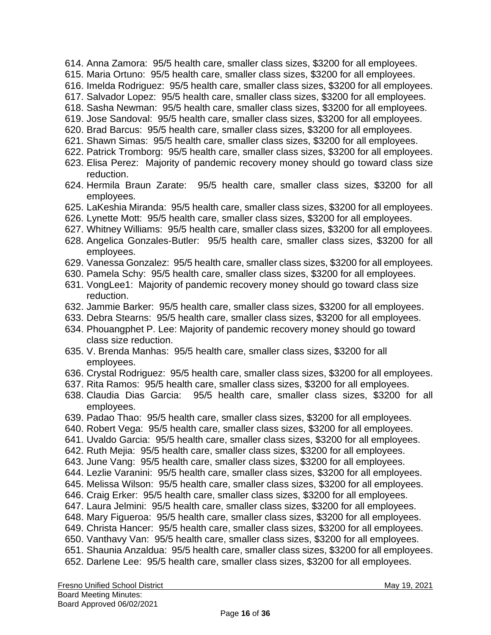- 614. Anna Zamora: 95/5 health care, smaller class sizes, \$3200 for all employees.
- 615. Maria Ortuno: 95/5 health care, smaller class sizes, \$3200 for all employees.
- 616. Imelda Rodriguez: 95/5 health care, smaller class sizes, \$3200 for all employees.
- 617. Salvador Lopez: 95/5 health care, smaller class sizes, \$3200 for all employees.
- 618. Sasha Newman: 95/5 health care, smaller class sizes, \$3200 for all employees.
- 619. Jose Sandoval: 95/5 health care, smaller class sizes, \$3200 for all employees.
- 620. Brad Barcus: 95/5 health care, smaller class sizes, \$3200 for all employees.
- 621. Shawn Simas: 95/5 health care, smaller class sizes, \$3200 for all employees.
- 622. Patrick Tromborg: 95/5 health care, smaller class sizes, \$3200 for all employees.
- 623. Elisa Perez: Majority of pandemic recovery money should go toward class size reduction.
- 624. Hermila Braun Zarate: 95/5 health care, smaller class sizes, \$3200 for all employees.
- 625. LaKeshia Miranda: 95/5 health care, smaller class sizes, \$3200 for all employees.
- 626. Lynette Mott: 95/5 health care, smaller class sizes, \$3200 for all employees.
- 627. Whitney Williams: 95/5 health care, smaller class sizes, \$3200 for all employees.
- 628. Angelica Gonzales-Butler: 95/5 health care, smaller class sizes, \$3200 for all employees.
- 629. Vanessa Gonzalez: 95/5 health care, smaller class sizes, \$3200 for all employees.
- 630. Pamela Schy: 95/5 health care, smaller class sizes, \$3200 for all employees.
- 631. VongLee1: Majority of pandemic recovery money should go toward class size reduction.
- 632. Jammie Barker: 95/5 health care, smaller class sizes, \$3200 for all employees.
- 633. Debra Stearns: 95/5 health care, smaller class sizes, \$3200 for all employees.
- 634. Phouangphet P. Lee: Majority of pandemic recovery money should go toward class size reduction.
- 635. V. Brenda Manhas: 95/5 health care, smaller class sizes, \$3200 for all employees.
- 636. Crystal Rodriguez: 95/5 health care, smaller class sizes, \$3200 for all employees.
- 637. Rita Ramos: 95/5 health care, smaller class sizes, \$3200 for all employees.
- 638. Claudia Dias Garcia: 95/5 health care, smaller class sizes, \$3200 for all employees.
- 639. Padao Thao: 95/5 health care, smaller class sizes, \$3200 for all employees.
- 640. Robert Vega: 95/5 health care, smaller class sizes, \$3200 for all employees.
- 641. Uvaldo Garcia: 95/5 health care, smaller class sizes, \$3200 for all employees.
- 642. Ruth Mejia: 95/5 health care, smaller class sizes, \$3200 for all employees.
- 643. June Vang: 95/5 health care, smaller class sizes, \$3200 for all employees.
- 644. Lezlie Varanini: 95/5 health care, smaller class sizes, \$3200 for all employees.
- 645. Melissa Wilson: 95/5 health care, smaller class sizes, \$3200 for all employees.
- 646. Craig Erker: 95/5 health care, smaller class sizes, \$3200 for all employees.
- 647. Laura Jelmini: 95/5 health care, smaller class sizes, \$3200 for all employees.
- 648. Mary Figueroa: 95/5 health care, smaller class sizes, \$3200 for all employees.
- 649. Christa Hancer: 95/5 health care, smaller class sizes, \$3200 for all employees.
- 650. Vanthavy Van: 95/5 health care, smaller class sizes, \$3200 for all employees.
- 651. Shaunia Anzaldua: 95/5 health care, smaller class sizes, \$3200 for all employees.
- 652. Darlene Lee: 95/5 health care, smaller class sizes, \$3200 for all employees.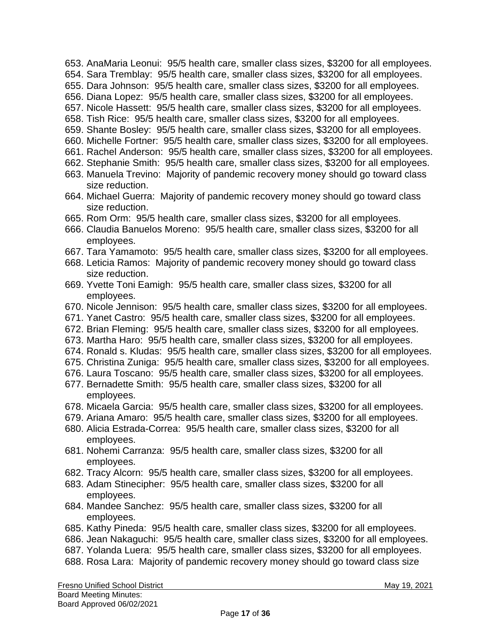- 653. AnaMaria Leonui: 95/5 health care, smaller class sizes, \$3200 for all employees.
- 654. Sara Tremblay: 95/5 health care, smaller class sizes, \$3200 for all employees.
- 655. Dara Johnson: 95/5 health care, smaller class sizes, \$3200 for all employees.
- 656. Diana Lopez: 95/5 health care, smaller class sizes, \$3200 for all employees.
- 657. Nicole Hassett: 95/5 health care, smaller class sizes, \$3200 for all employees.
- 658. Tish Rice: 95/5 health care, smaller class sizes, \$3200 for all employees.
- 659. Shante Bosley: 95/5 health care, smaller class sizes, \$3200 for all employees.
- 660. Michelle Fortner: 95/5 health care, smaller class sizes, \$3200 for all employees.
- 661. Rachel Anderson: 95/5 health care, smaller class sizes, \$3200 for all employees.
- 662. Stephanie Smith: 95/5 health care, smaller class sizes, \$3200 for all employees.
- 663. Manuela Trevino: Majority of pandemic recovery money should go toward class size reduction.
- 664. Michael Guerra: Majority of pandemic recovery money should go toward class size reduction.
- 665. Rom Orm: 95/5 health care, smaller class sizes, \$3200 for all employees.
- 666. Claudia Banuelos Moreno: 95/5 health care, smaller class sizes, \$3200 for all employees.
- 667. Tara Yamamoto: 95/5 health care, smaller class sizes, \$3200 for all employees.
- 668. Leticia Ramos: Majority of pandemic recovery money should go toward class size reduction.
- 669. Yvette Toni Eamigh: 95/5 health care, smaller class sizes, \$3200 for all employees.
- 670. Nicole Jennison: 95/5 health care, smaller class sizes, \$3200 for all employees.
- 671. Yanet Castro: 95/5 health care, smaller class sizes, \$3200 for all employees.
- 672. Brian Fleming: 95/5 health care, smaller class sizes, \$3200 for all employees.
- 673. Martha Haro: 95/5 health care, smaller class sizes, \$3200 for all employees.
- 674. Ronald s. Kludas: 95/5 health care, smaller class sizes, \$3200 for all employees.
- 675. Christina Zuniga: 95/5 health care, smaller class sizes, \$3200 for all employees.
- 676. Laura Toscano: 95/5 health care, smaller class sizes, \$3200 for all employees.
- 677. Bernadette Smith: 95/5 health care, smaller class sizes, \$3200 for all employees.
- 678. Micaela Garcia: 95/5 health care, smaller class sizes, \$3200 for all employees.
- 679. Ariana Amaro: 95/5 health care, smaller class sizes, \$3200 for all employees.
- 680. Alicia Estrada-Correa: 95/5 health care, smaller class sizes, \$3200 for all employees.
- 681. Nohemi Carranza: 95/5 health care, smaller class sizes, \$3200 for all employees.
- 682. Tracy Alcorn: 95/5 health care, smaller class sizes, \$3200 for all employees.
- 683. Adam Stinecipher: 95/5 health care, smaller class sizes, \$3200 for all employees.
- 684. Mandee Sanchez: 95/5 health care, smaller class sizes, \$3200 for all employees.
- 685. Kathy Pineda: 95/5 health care, smaller class sizes, \$3200 for all employees.
- 686. Jean Nakaguchi: 95/5 health care, smaller class sizes, \$3200 for all employees.
- 687. Yolanda Luera: 95/5 health care, smaller class sizes, \$3200 for all employees.
- 688. Rosa Lara: Majority of pandemic recovery money should go toward class size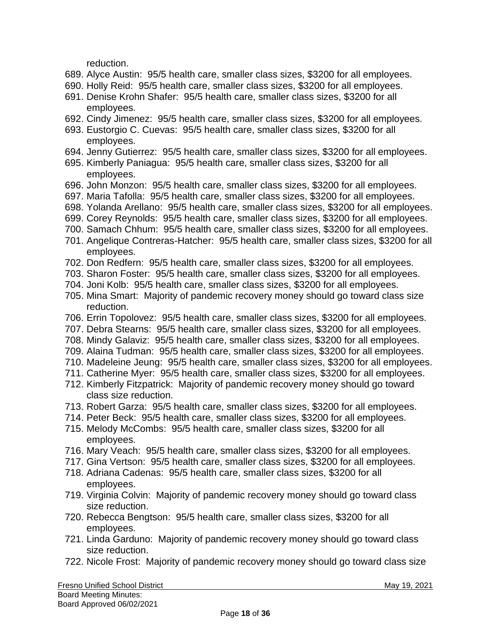reduction.

- 689. Alyce Austin: 95/5 health care, smaller class sizes, \$3200 for all employees.
- 690. Holly Reid: 95/5 health care, smaller class sizes, \$3200 for all employees.
- 691. Denise Krohn Shafer: 95/5 health care, smaller class sizes, \$3200 for all employees.
- 692. Cindy Jimenez: 95/5 health care, smaller class sizes, \$3200 for all employees.
- 693. Eustorgio C. Cuevas: 95/5 health care, smaller class sizes, \$3200 for all employees.
- 694. Jenny Gutierrez: 95/5 health care, smaller class sizes, \$3200 for all employees.
- 695. Kimberly Paniagua: 95/5 health care, smaller class sizes, \$3200 for all employees.
- 696. John Monzon: 95/5 health care, smaller class sizes, \$3200 for all employees.
- 697. Maria Tafolla: 95/5 health care, smaller class sizes, \$3200 for all employees.
- 698. Yolanda Arellano: 95/5 health care, smaller class sizes, \$3200 for all employees.
- 699. Corey Reynolds: 95/5 health care, smaller class sizes, \$3200 for all employees.
- 700. Samach Chhum: 95/5 health care, smaller class sizes, \$3200 for all employees.
- 701. Angelique Contreras-Hatcher: 95/5 health care, smaller class sizes, \$3200 for all employees.
- 702. Don Redfern: 95/5 health care, smaller class sizes, \$3200 for all employees.
- 703. Sharon Foster: 95/5 health care, smaller class sizes, \$3200 for all employees.
- 704. Joni Kolb: 95/5 health care, smaller class sizes, \$3200 for all employees.
- 705. Mina Smart: Majority of pandemic recovery money should go toward class size reduction.
- 706. Errin Topolovez: 95/5 health care, smaller class sizes, \$3200 for all employees.
- 707. Debra Stearns: 95/5 health care, smaller class sizes, \$3200 for all employees.
- 708. Mindy Galaviz: 95/5 health care, smaller class sizes, \$3200 for all employees.
- 709. Alaina Tudman: 95/5 health care, smaller class sizes, \$3200 for all employees.
- 710. Madeleine Jeung: 95/5 health care, smaller class sizes, \$3200 for all employees.
- 711. Catherine Myer: 95/5 health care, smaller class sizes, \$3200 for all employees.
- 712. Kimberly Fitzpatrick: Majority of pandemic recovery money should go toward class size reduction.
- 713. Robert Garza: 95/5 health care, smaller class sizes, \$3200 for all employees.
- 714. Peter Beck: 95/5 health care, smaller class sizes, \$3200 for all employees.
- 715. Melody McCombs: 95/5 health care, smaller class sizes, \$3200 for all employees.
- 716. Mary Veach: 95/5 health care, smaller class sizes, \$3200 for all employees.
- 717. Gina Vertson: 95/5 health care, smaller class sizes, \$3200 for all employees.
- 718. Adriana Cadenas: 95/5 health care, smaller class sizes, \$3200 for all employees.
- 719. Virginia Colvin: Majority of pandemic recovery money should go toward class size reduction.
- 720. Rebecca Bengtson: 95/5 health care, smaller class sizes, \$3200 for all employees.
- 721. Linda Garduno: Majority of pandemic recovery money should go toward class size reduction.
- 722. Nicole Frost: Majority of pandemic recovery money should go toward class size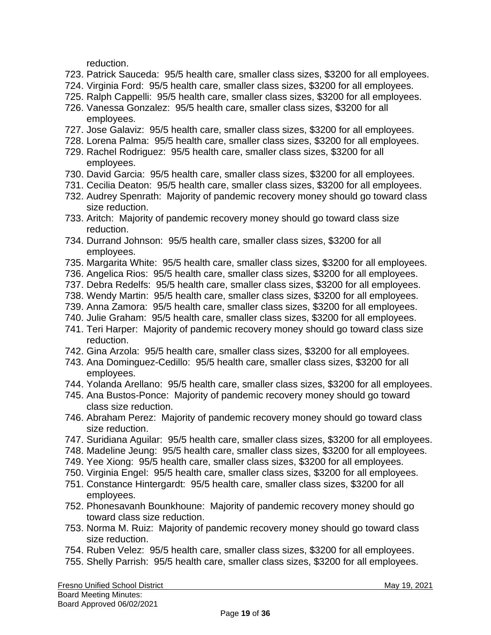reduction.

- 723. Patrick Sauceda: 95/5 health care, smaller class sizes, \$3200 for all employees.
- 724. Virginia Ford: 95/5 health care, smaller class sizes, \$3200 for all employees.
- 725. Ralph Cappelli: 95/5 health care, smaller class sizes, \$3200 for all employees.
- 726. Vanessa Gonzalez: 95/5 health care, smaller class sizes, \$3200 for all employees.
- 727. Jose Galaviz: 95/5 health care, smaller class sizes, \$3200 for all employees.
- 728. Lorena Palma: 95/5 health care, smaller class sizes, \$3200 for all employees.
- 729. Rachel Rodriguez: 95/5 health care, smaller class sizes, \$3200 for all employees.
- 730. David Garcia: 95/5 health care, smaller class sizes, \$3200 for all employees.
- 731. Cecilia Deaton: 95/5 health care, smaller class sizes, \$3200 for all employees.
- 732. Audrey Spenrath: Majority of pandemic recovery money should go toward class size reduction.
- 733. Aritch: Majority of pandemic recovery money should go toward class size reduction.
- 734. Durrand Johnson: 95/5 health care, smaller class sizes, \$3200 for all employees.
- 735. Margarita White: 95/5 health care, smaller class sizes, \$3200 for all employees.
- 736. Angelica Rios: 95/5 health care, smaller class sizes, \$3200 for all employees.
- 737. Debra Redelfs: 95/5 health care, smaller class sizes, \$3200 for all employees.
- 738. Wendy Martin: 95/5 health care, smaller class sizes, \$3200 for all employees.
- 739. Anna Zamora: 95/5 health care, smaller class sizes, \$3200 for all employees.
- 740. Julie Graham: 95/5 health care, smaller class sizes, \$3200 for all employees.
- 741. Teri Harper: Majority of pandemic recovery money should go toward class size reduction.
- 742. Gina Arzola: 95/5 health care, smaller class sizes, \$3200 for all employees.
- 743. Ana Dominguez-Cedillo: 95/5 health care, smaller class sizes, \$3200 for all employees.
- 744. Yolanda Arellano: 95/5 health care, smaller class sizes, \$3200 for all employees.
- 745. Ana Bustos-Ponce: Majority of pandemic recovery money should go toward class size reduction.
- 746. Abraham Perez: Majority of pandemic recovery money should go toward class size reduction.
- 747. Suridiana Aguilar: 95/5 health care, smaller class sizes, \$3200 for all employees.
- 748. Madeline Jeung: 95/5 health care, smaller class sizes, \$3200 for all employees.
- 749. Yee Xiong: 95/5 health care, smaller class sizes, \$3200 for all employees.
- 750. Virginia Engel: 95/5 health care, smaller class sizes, \$3200 for all employees.
- 751. Constance Hintergardt: 95/5 health care, smaller class sizes, \$3200 for all employees.
- 752. Phonesavanh Bounkhoune: Majority of pandemic recovery money should go toward class size reduction.
- 753. Norma M. Ruiz: Majority of pandemic recovery money should go toward class size reduction.
- 754. Ruben Velez: 95/5 health care, smaller class sizes, \$3200 for all employees.
- 755. Shelly Parrish: 95/5 health care, smaller class sizes, \$3200 for all employees.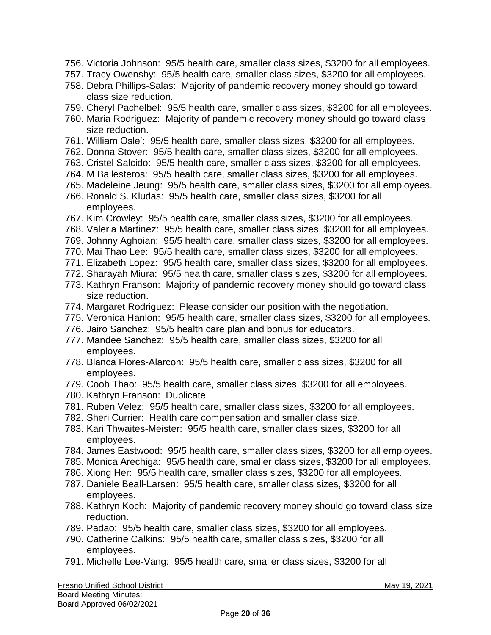- 756. Victoria Johnson: 95/5 health care, smaller class sizes, \$3200 for all employees.
- 757. Tracy Owensby: 95/5 health care, smaller class sizes, \$3200 for all employees.
- 758. Debra Phillips-Salas: Majority of pandemic recovery money should go toward class size reduction.
- 759. Cheryl Pachelbel: 95/5 health care, smaller class sizes, \$3200 for all employees.
- 760. Maria Rodriguez: Majority of pandemic recovery money should go toward class size reduction.
- 761. William Osle': 95/5 health care, smaller class sizes, \$3200 for all employees.
- 762. Donna Stover: 95/5 health care, smaller class sizes, \$3200 for all employees.
- 763. Cristel Salcido: 95/5 health care, smaller class sizes, \$3200 for all employees.
- 764. M Ballesteros: 95/5 health care, smaller class sizes, \$3200 for all employees.
- 765. Madeleine Jeung: 95/5 health care, smaller class sizes, \$3200 for all employees.
- 766. Ronald S. Kludas: 95/5 health care, smaller class sizes, \$3200 for all employees.
- 767. Kim Crowley: 95/5 health care, smaller class sizes, \$3200 for all employees.
- 768. Valeria Martinez: 95/5 health care, smaller class sizes, \$3200 for all employees.
- 769. Johnny Aghoian: 95/5 health care, smaller class sizes, \$3200 for all employees.
- 770. Mai Thao Lee: 95/5 health care, smaller class sizes, \$3200 for all employees.
- 771. Elizabeth Lopez: 95/5 health care, smaller class sizes, \$3200 for all employees.
- 772. Sharayah Miura: 95/5 health care, smaller class sizes, \$3200 for all employees.
- 773. Kathryn Franson: Majority of pandemic recovery money should go toward class size reduction.
- 774. Margaret Rodriguez: Please consider our position with the negotiation.
- 775. Veronica Hanlon: 95/5 health care, smaller class sizes, \$3200 for all employees.
- 776. Jairo Sanchez: 95/5 health care plan and bonus for educators.
- 777. Mandee Sanchez: 95/5 health care, smaller class sizes, \$3200 for all employees.
- 778. Blanca Flores-Alarcon: 95/5 health care, smaller class sizes, \$3200 for all employees.
- 779. Coob Thao: 95/5 health care, smaller class sizes, \$3200 for all employees.
- 780. Kathryn Franson: Duplicate
- 781. Ruben Velez: 95/5 health care, smaller class sizes, \$3200 for all employees.
- 782. Sheri Currier: Health care compensation and smaller class size.
- 783. Kari Thwaites-Meister: 95/5 health care, smaller class sizes, \$3200 for all employees.
- 784. James Eastwood: 95/5 health care, smaller class sizes, \$3200 for all employees.
- 785. Monica Arechiga: 95/5 health care, smaller class sizes, \$3200 for all employees.
- 786. Xiong Her: 95/5 health care, smaller class sizes, \$3200 for all employees.
- 787. Daniele Beall-Larsen: 95/5 health care, smaller class sizes, \$3200 for all employees.
- 788. Kathryn Koch: Majority of pandemic recovery money should go toward class size reduction.
- 789. Padao: 95/5 health care, smaller class sizes, \$3200 for all employees.
- 790. Catherine Calkins: 95/5 health care, smaller class sizes, \$3200 for all employees.
- 791. Michelle Lee-Vang: 95/5 health care, smaller class sizes, \$3200 for all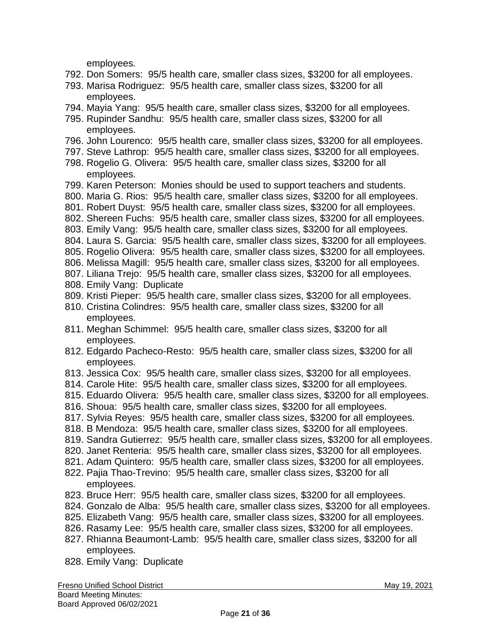employees.

- 792. Don Somers: 95/5 health care, smaller class sizes, \$3200 for all employees.
- 793. Marisa Rodriguez: 95/5 health care, smaller class sizes, \$3200 for all employees.
- 794. Mayia Yang: 95/5 health care, smaller class sizes, \$3200 for all employees.
- 795. Rupinder Sandhu: 95/5 health care, smaller class sizes, \$3200 for all employees.
- 796. John Lourenco: 95/5 health care, smaller class sizes, \$3200 for all employees.
- 797. Steve Lathrop: 95/5 health care, smaller class sizes, \$3200 for all employees.
- 798. Rogelio G. Olivera: 95/5 health care, smaller class sizes, \$3200 for all employees.
- 799. Karen Peterson: Monies should be used to support teachers and students.
- 800. Maria G. Rios: 95/5 health care, smaller class sizes, \$3200 for all employees.
- 801. Robert Duyst: 95/5 health care, smaller class sizes, \$3200 for all employees.
- 802. Shereen Fuchs: 95/5 health care, smaller class sizes, \$3200 for all employees.
- 803. Emily Vang: 95/5 health care, smaller class sizes, \$3200 for all employees.
- 804. Laura S. Garcia: 95/5 health care, smaller class sizes, \$3200 for all employees.
- 805. Rogelio Olivera: 95/5 health care, smaller class sizes, \$3200 for all employees.
- 806. Melissa Magill: 95/5 health care, smaller class sizes, \$3200 for all employees.
- 807. Liliana Trejo: 95/5 health care, smaller class sizes, \$3200 for all employees.
- 808. Emily Vang: Duplicate
- 809. Kristi Pieper: 95/5 health care, smaller class sizes, \$3200 for all employees.
- 810. Cristina Colindres: 95/5 health care, smaller class sizes, \$3200 for all employees.
- 811. Meghan Schimmel: 95/5 health care, smaller class sizes, \$3200 for all employees.
- 812. Edgardo Pacheco-Resto: 95/5 health care, smaller class sizes, \$3200 for all employees.
- 813. Jessica Cox: 95/5 health care, smaller class sizes, \$3200 for all employees.
- 814. Carole Hite: 95/5 health care, smaller class sizes, \$3200 for all employees.
- 815. Eduardo Olivera: 95/5 health care, smaller class sizes, \$3200 for all employees.
- 816. Shoua: 95/5 health care, smaller class sizes, \$3200 for all employees.
- 817. Sylvia Reyes: 95/5 health care, smaller class sizes, \$3200 for all employees.
- 818. B Mendoza: 95/5 health care, smaller class sizes, \$3200 for all employees.
- 819. Sandra Gutierrez: 95/5 health care, smaller class sizes, \$3200 for all employees.
- 820. Janet Renteria: 95/5 health care, smaller class sizes, \$3200 for all employees.
- 821. Adam Quintero: 95/5 health care, smaller class sizes, \$3200 for all employees.
- 822. Pajia Thao-Trevino: 95/5 health care, smaller class sizes, \$3200 for all employees.
- 823. Bruce Herr: 95/5 health care, smaller class sizes, \$3200 for all employees.
- 824. Gonzalo de Alba: 95/5 health care, smaller class sizes, \$3200 for all employees.
- 825. Elizabeth Vang: 95/5 health care, smaller class sizes, \$3200 for all employees.
- 826. Rasamy Lee: 95/5 health care, smaller class sizes, \$3200 for all employees.
- 827. Rhianna Beaumont-Lamb: 95/5 health care, smaller class sizes, \$3200 for all employees.
- 828. Emily Vang: Duplicate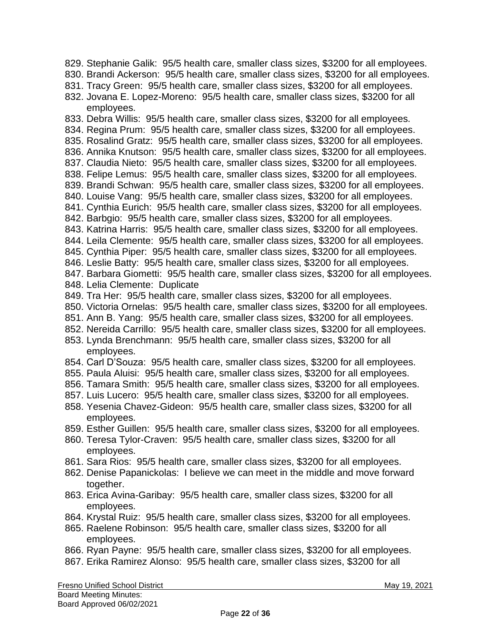829. Stephanie Galik: 95/5 health care, smaller class sizes, \$3200 for all employees.

- 830. Brandi Ackerson: 95/5 health care, smaller class sizes, \$3200 for all employees.
- 831. Tracy Green: 95/5 health care, smaller class sizes, \$3200 for all employees.
- 832. Jovana E. Lopez-Moreno: 95/5 health care, smaller class sizes, \$3200 for all employees.
- 833. Debra Willis: 95/5 health care, smaller class sizes, \$3200 for all employees.
- 834. Regina Prum: 95/5 health care, smaller class sizes, \$3200 for all employees.
- 835. Rosalind Gratz: 95/5 health care, smaller class sizes, \$3200 for all employees.
- 836. Annika Knutson: 95/5 health care, smaller class sizes, \$3200 for all employees.
- 837. Claudia Nieto: 95/5 health care, smaller class sizes, \$3200 for all employees.
- 838. Felipe Lemus: 95/5 health care, smaller class sizes, \$3200 for all employees.
- 839. Brandi Schwan: 95/5 health care, smaller class sizes, \$3200 for all employees.
- 840. Louise Vang: 95/5 health care, smaller class sizes, \$3200 for all employees.
- 841. Cynthia Eurich: 95/5 health care, smaller class sizes, \$3200 for all employees.
- 842. Barbgio: 95/5 health care, smaller class sizes, \$3200 for all employees.
- 843. Katrina Harris: 95/5 health care, smaller class sizes, \$3200 for all employees.
- 844. Leila Clemente: 95/5 health care, smaller class sizes, \$3200 for all employees.
- 845. Cynthia Piper: 95/5 health care, smaller class sizes, \$3200 for all employees.
- 846. Leslie Batty: 95/5 health care, smaller class sizes, \$3200 for all employees.
- 847. Barbara Giometti: 95/5 health care, smaller class sizes, \$3200 for all employees.
- 848. Lelia Clemente: Duplicate
- 849. Tra Her: 95/5 health care, smaller class sizes, \$3200 for all employees.
- 850. Victoria Ornelas: 95/5 health care, smaller class sizes, \$3200 for all employees.
- 851. Ann B. Yang: 95/5 health care, smaller class sizes, \$3200 for all employees.
- 852. Nereida Carrillo: 95/5 health care, smaller class sizes, \$3200 for all employees.
- 853. Lynda Brenchmann: 95/5 health care, smaller class sizes, \$3200 for all employees.
- 854. Carl D'Souza: 95/5 health care, smaller class sizes, \$3200 for all employees.
- 855. Paula Aluisi: 95/5 health care, smaller class sizes, \$3200 for all employees.
- 856. Tamara Smith: 95/5 health care, smaller class sizes, \$3200 for all employees.
- 857. Luis Lucero: 95/5 health care, smaller class sizes, \$3200 for all employees.
- 858. Yesenia Chavez-Gideon: 95/5 health care, smaller class sizes, \$3200 for all employees.
- 859. Esther Guillen: 95/5 health care, smaller class sizes, \$3200 for all employees.
- 860. Teresa Tylor-Craven: 95/5 health care, smaller class sizes, \$3200 for all employees.
- 861. Sara Rios: 95/5 health care, smaller class sizes, \$3200 for all employees.
- 862. Denise Papanickolas: I believe we can meet in the middle and move forward together.
- 863. Erica Avina-Garibay: 95/5 health care, smaller class sizes, \$3200 for all employees.
- 864. Krystal Ruiz: 95/5 health care, smaller class sizes, \$3200 for all employees.
- 865. Raelene Robinson: 95/5 health care, smaller class sizes, \$3200 for all employees.
- 866. Ryan Payne: 95/5 health care, smaller class sizes, \$3200 for all employees.
- 867. Erika Ramirez Alonso: 95/5 health care, smaller class sizes, \$3200 for all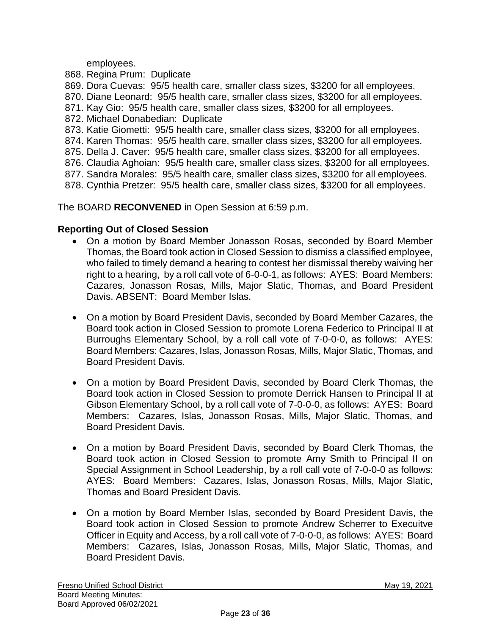employees.

- 868. Regina Prum: Duplicate
- 869. Dora Cuevas: 95/5 health care, smaller class sizes, \$3200 for all employees.
- 870. Diane Leonard: 95/5 health care, smaller class sizes, \$3200 for all employees.
- 871. Kay Gio: 95/5 health care, smaller class sizes, \$3200 for all employees.
- 872. Michael Donabedian: Duplicate
- 873. Katie Giometti: 95/5 health care, smaller class sizes, \$3200 for all employees.
- 874. Karen Thomas: 95/5 health care, smaller class sizes, \$3200 for all employees.
- 875. Della J. Caver: 95/5 health care, smaller class sizes, \$3200 for all employees.
- 876. Claudia Aghoian: 95/5 health care, smaller class sizes, \$3200 for all employees.
- 877. Sandra Morales: 95/5 health care, smaller class sizes, \$3200 for all employees.
- 878. Cynthia Pretzer: 95/5 health care, smaller class sizes, \$3200 for all employees.

The BOARD **RECONVENED** in Open Session at 6:59 p.m.

## **Reporting Out of Closed Session**

- On a motion by Board Member Jonasson Rosas, seconded by Board Member Thomas, the Board took action in Closed Session to dismiss a classified employee, who failed to timely demand a hearing to contest her dismissal thereby waiving her right to a hearing, by a roll call vote of 6-0-0-1, as follows: AYES: Board Members: Cazares, Jonasson Rosas, Mills, Major Slatic, Thomas, and Board President Davis. ABSENT: Board Member Islas.
- On a motion by Board President Davis, seconded by Board Member Cazares, the Board took action in Closed Session to promote Lorena Federico to Principal II at Burroughs Elementary School, by a roll call vote of 7-0-0-0, as follows: AYES: Board Members: Cazares, Islas, Jonasson Rosas, Mills, Major Slatic, Thomas, and Board President Davis.
- On a motion by Board President Davis, seconded by Board Clerk Thomas, the Board took action in Closed Session to promote Derrick Hansen to Principal II at Gibson Elementary School, by a roll call vote of 7-0-0-0, as follows: AYES: Board Members: Cazares, Islas, Jonasson Rosas, Mills, Major Slatic, Thomas, and Board President Davis.
- On a motion by Board President Davis, seconded by Board Clerk Thomas, the Board took action in Closed Session to promote Amy Smith to Principal II on Special Assignment in School Leadership, by a roll call vote of 7-0-0-0 as follows: AYES: Board Members: Cazares, Islas, Jonasson Rosas, Mills, Major Slatic, Thomas and Board President Davis.
- On a motion by Board Member Islas, seconded by Board President Davis, the Board took action in Closed Session to promote Andrew Scherrer to Execuitve Officer in Equity and Access, by a roll call vote of 7-0-0-0, as follows: AYES: Board Members: Cazares, Islas, Jonasson Rosas, Mills, Major Slatic, Thomas, and Board President Davis.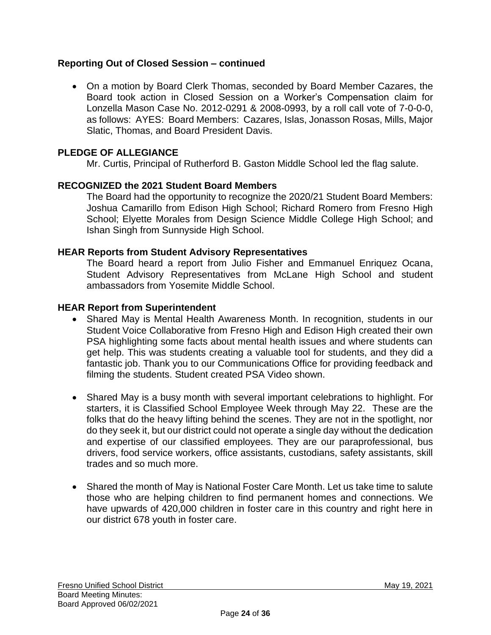## **Reporting Out of Closed Session – continued**

• On a motion by Board Clerk Thomas, seconded by Board Member Cazares, the Board took action in Closed Session on a Worker's Compensation claim for Lonzella Mason Case No. 2012-0291 & 2008-0993, by a roll call vote of 7-0-0-0, as follows: AYES: Board Members: Cazares, Islas, Jonasson Rosas, Mills, Major Slatic, Thomas, and Board President Davis.

## **PLEDGE OF ALLEGIANCE**

Mr. Curtis, Principal of Rutherford B. Gaston Middle School led the flag salute.

#### **RECOGNIZED the 2021 Student Board Members**

The Board had the opportunity to recognize the 2020/21 Student Board Members: Joshua Camarillo from Edison High School; Richard Romero from Fresno High School; Elyette Morales from Design Science Middle College High School; and Ishan Singh from Sunnyside High School.

#### **HEAR Reports from Student Advisory Representatives**

The Board heard a report from Julio Fisher and Emmanuel Enriquez Ocana, Student Advisory Representatives from McLane High School and student ambassadors from Yosemite Middle School.

#### **HEAR Report from Superintendent**

- Shared May is Mental Health Awareness Month. In recognition, students in our Student Voice Collaborative from Fresno High and Edison High created their own PSA highlighting some facts about mental health issues and where students can get help. This was students creating a valuable tool for students, and they did a fantastic job. Thank you to our Communications Office for providing feedback and filming the students. Student created PSA Video shown.
- Shared May is a busy month with several important celebrations to highlight. For starters, it is Classified School Employee Week through May 22. These are the folks that do the heavy lifting behind the scenes. They are not in the spotlight, nor do they seek it, but our district could not operate a single day without the dedication and expertise of our classified employees. They are our paraprofessional, bus drivers, food service workers, office assistants, custodians, safety assistants, skill trades and so much more.
- Shared the month of May is National Foster Care Month. Let us take time to salute those who are helping children to find permanent homes and connections. We have upwards of 420,000 children in foster care in this country and right here in our district 678 youth in foster care.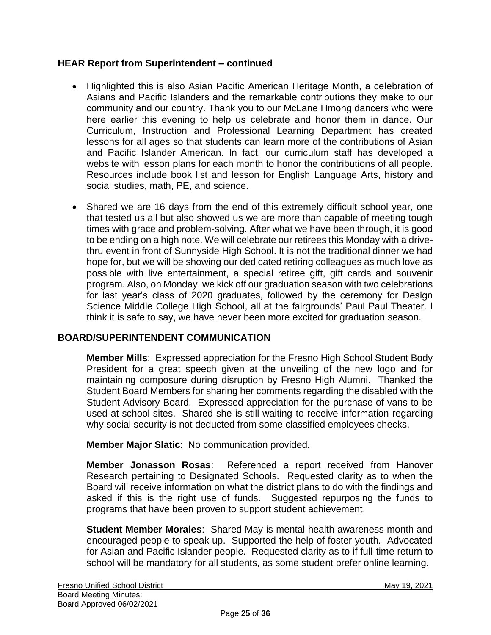## **HEAR Report from Superintendent – continued**

- Highlighted this is also Asian Pacific American Heritage Month, a celebration of Asians and Pacific Islanders and the remarkable contributions they make to our community and our country. Thank you to our McLane Hmong dancers who were here earlier this evening to help us celebrate and honor them in dance. Our Curriculum, Instruction and Professional Learning Department has created lessons for all ages so that students can learn more of the contributions of Asian and Pacific Islander American. In fact, our curriculum staff has developed a website with lesson plans for each month to honor the contributions of all people. Resources include book list and lesson for English Language Arts, history and social studies, math, PE, and science.
- Shared we are 16 days from the end of this extremely difficult school year, one that tested us all but also showed us we are more than capable of meeting tough times with grace and problem-solving. After what we have been through, it is good to be ending on a high note. We will celebrate our retirees this Monday with a drivethru event in front of Sunnyside High School. It is not the traditional dinner we had hope for, but we will be showing our dedicated retiring colleagues as much love as possible with live entertainment, a special retiree gift, gift cards and souvenir program. Also, on Monday, we kick off our graduation season with two celebrations for last year's class of 2020 graduates, followed by the ceremony for Design Science Middle College High School, all at the fairgrounds' Paul Paul Theater. I think it is safe to say, we have never been more excited for graduation season.

# **BOARD/SUPERINTENDENT COMMUNICATION**

**Member Mills**: Expressed appreciation for the Fresno High School Student Body President for a great speech given at the unveiling of the new logo and for maintaining composure during disruption by Fresno High Alumni. Thanked the Student Board Members for sharing her comments regarding the disabled with the Student Advisory Board. Expressed appreciation for the purchase of vans to be used at school sites. Shared she is still waiting to receive information regarding why social security is not deducted from some classified employees checks.

**Member Major Slatic**: No communication provided.

**Member Jonasson Rosas**: Referenced a report received from Hanover Research pertaining to Designated Schools. Requested clarity as to when the Board will receive information on what the district plans to do with the findings and asked if this is the right use of funds. Suggested repurposing the funds to programs that have been proven to support student achievement.

**Student Member Morales**: Shared May is mental health awareness month and encouraged people to speak up. Supported the help of foster youth. Advocated for Asian and Pacific Islander people. Requested clarity as to if full-time return to school will be mandatory for all students, as some student prefer online learning.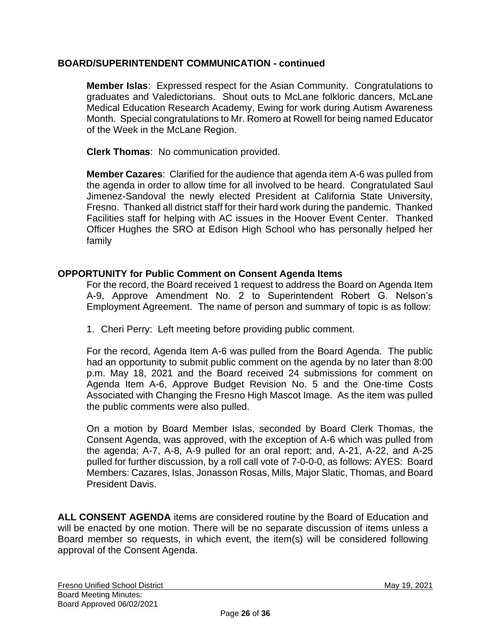## **BOARD/SUPERINTENDENT COMMUNICATION - continued**

**Member Islas**: Expressed respect for the Asian Community. Congratulations to graduates and Valedictorians. Shout outs to McLane folkloric dancers, McLane Medical Education Research Academy, Ewing for work during Autism Awareness Month. Special congratulations to Mr. Romero at Rowell for being named Educator of the Week in the McLane Region.

**Clerk Thomas**: No communication provided.

**Member Cazares**: Clarified for the audience that agenda item A-6 was pulled from the agenda in order to allow time for all involved to be heard. Congratulated Saul Jimenez-Sandoval the newly elected President at California State University, Fresno. Thanked all district staff for their hard work during the pandemic. Thanked Facilities staff for helping with AC issues in the Hoover Event Center. Thanked Officer Hughes the SRO at Edison High School who has personally helped her family

## **OPPORTUNITY for Public Comment on Consent Agenda Items**

For the record, the Board received 1 request to address the Board on Agenda Item A-9, Approve Amendment No. 2 to Superintendent Robert G. Nelson's Employment Agreement. The name of person and summary of topic is as follow:

1. Cheri Perry: Left meeting before providing public comment.

For the record, Agenda Item A-6 was pulled from the Board Agenda. The public had an opportunity to submit public comment on the agenda by no later than 8:00 p.m. May 18, 2021 and the Board received 24 submissions for comment on Agenda Item A-6, Approve Budget Revision No. 5 and the One-time Costs Associated with Changing the Fresno High Mascot Image. As the item was pulled the public comments were also pulled.

On a motion by Board Member Islas, seconded by Board Clerk Thomas, the Consent Agenda, was approved, with the exception of A-6 which was pulled from the agenda; A-7, A-8, A-9 pulled for an oral report; and, A-21, A-22, and A-25 pulled for further discussion, by a roll call vote of 7-0-0-0, as follows: AYES: Board Members: Cazares, Islas, Jonasson Rosas, Mills, Major Slatic, Thomas, and Board President Davis.

**ALL CONSENT AGENDA** items are considered routine by the Board of Education and will be enacted by one motion. There will be no separate discussion of items unless a Board member so requests, in which event, the item(s) will be considered following approval of the Consent Agenda.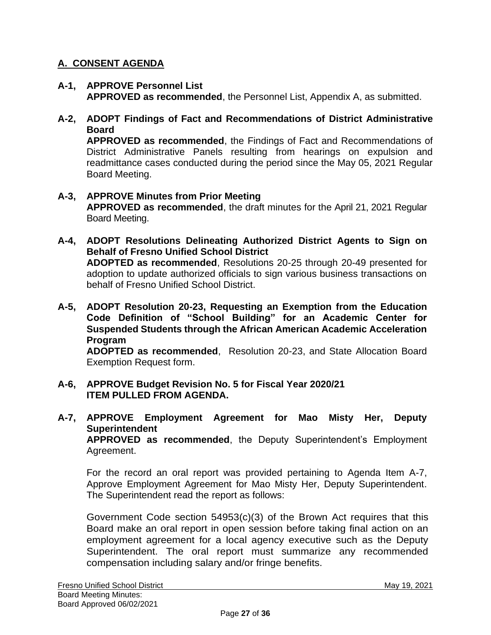# **A. CONSENT AGENDA**

- **A-1, APPROVE Personnel List APPROVED as recommended**, the Personnel List, Appendix A, as submitted.
- **A-2, ADOPT Findings of Fact and Recommendations of District Administrative Board**

**APPROVED as recommended**, the Findings of Fact and Recommendations of District Administrative Panels resulting from hearings on expulsion and readmittance cases conducted during the period since the May 05, 2021 Regular Board Meeting.

- **A-3, APPROVE Minutes from Prior Meeting APPROVED as recommended**, the draft minutes for the April 21, 2021 Regular Board Meeting.
- **A-4, ADOPT Resolutions Delineating Authorized District Agents to Sign on Behalf of Fresno Unified School District ADOPTED as recommended**, Resolutions 20-25 through 20-49 presented for adoption to update authorized officials to sign various business transactions on behalf of Fresno Unified School District.
- **A-5, ADOPT Resolution 20-23, Requesting an Exemption from the Education Code Definition of "School Building" for an Academic Center for Suspended Students through the African American Academic Acceleration Program ADOPTED as recommended**, Resolution 20-23, and State Allocation Board Exemption Request form.
- **A-6, APPROVE Budget Revision No. 5 for Fiscal Year 2020/21 ITEM PULLED FROM AGENDA.**
- **A-7, APPROVE Employment Agreement for Mao Misty Her, Deputy Superintendent APPROVED as recommended**, the Deputy Superintendent's Employment

Agreement.

For the record an oral report was provided pertaining to Agenda Item A-7, Approve Employment Agreement for Mao Misty Her, Deputy Superintendent. The Superintendent read the report as follows:

Government Code section 54953(c)(3) of the Brown Act requires that this Board make an oral report in open session before taking final action on an employment agreement for a local agency executive such as the Deputy Superintendent. The oral report must summarize any recommended compensation including salary and/or fringe benefits.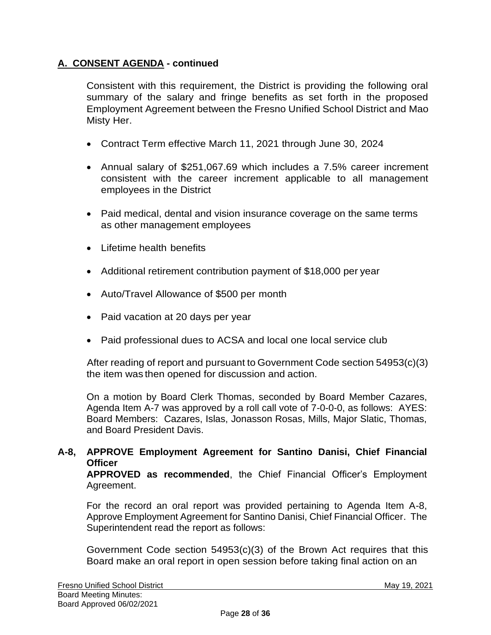# **A. CONSENT AGENDA - continued**

Consistent with this requirement, the District is providing the following oral summary of the salary and fringe benefits as set forth in the proposed Employment Agreement between the Fresno Unified School District and Mao Misty Her.

- Contract Term effective March 11, 2021 through June 30, 2024
- Annual salary of \$251,067.69 which includes a 7.5% career increment consistent with the career increment applicable to all management employees in the District
- Paid medical, dental and vision insurance coverage on the same terms as other management employees
- Lifetime health benefits
- Additional retirement contribution payment of \$18,000 per year
- Auto/Travel Allowance of \$500 per month
- Paid vacation at 20 days per year
- Paid professional dues to ACSA and local one local service club

After reading of report and pursuant to Government Code section 54953(c)(3) the item was then opened for discussion and action.

On a motion by Board Clerk Thomas, seconded by Board Member Cazares, Agenda Item A-7 was approved by a roll call vote of 7-0-0-0, as follows: AYES: Board Members: Cazares, Islas, Jonasson Rosas, Mills, Major Slatic, Thomas, and Board President Davis.

# **A-8, APPROVE Employment Agreement for Santino Danisi, Chief Financial Officer**

**APPROVED as recommended**, the Chief Financial Officer's Employment Agreement.

For the record an oral report was provided pertaining to Agenda Item A-8, Approve Employment Agreement for Santino Danisi, Chief Financial Officer. The Superintendent read the report as follows:

Government Code section 54953(c)(3) of the Brown Act requires that this Board make an oral report in open session before taking final action on an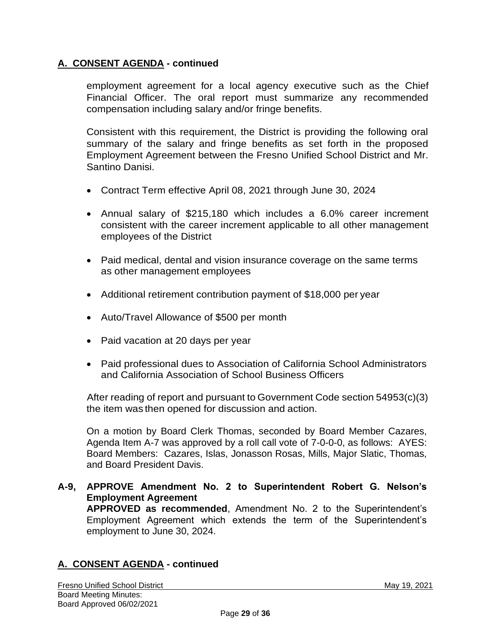# **A. CONSENT AGENDA - continued**

employment agreement for a local agency executive such as the Chief Financial Officer. The oral report must summarize any recommended compensation including salary and/or fringe benefits.

Consistent with this requirement, the District is providing the following oral summary of the salary and fringe benefits as set forth in the proposed Employment Agreement between the Fresno Unified School District and Mr. Santino Danisi.

- Contract Term effective April 08, 2021 through June 30, 2024
- Annual salary of \$215,180 which includes a 6.0% career increment consistent with the career increment applicable to all other management employees of the District
- Paid medical, dental and vision insurance coverage on the same terms as other management employees
- Additional retirement contribution payment of \$18,000 per year
- Auto/Travel Allowance of \$500 per month
- Paid vacation at 20 days per year
- Paid professional dues to Association of California School Administrators and California Association of School Business Officers

After reading of report and pursuant to Government Code section 54953(c)(3) the item was then opened for discussion and action.

On a motion by Board Clerk Thomas, seconded by Board Member Cazares, Agenda Item A-7 was approved by a roll call vote of 7-0-0-0, as follows: AYES: Board Members: Cazares, Islas, Jonasson Rosas, Mills, Major Slatic, Thomas, and Board President Davis.

**A-9, APPROVE Amendment No. 2 to Superintendent Robert G. Nelson's Employment Agreement APPROVED as recommended**, Amendment No. 2 to the Superintendent's

Employment Agreement which extends the term of the Superintendent's employment to June 30, 2024.

# **A. CONSENT AGENDA - continued**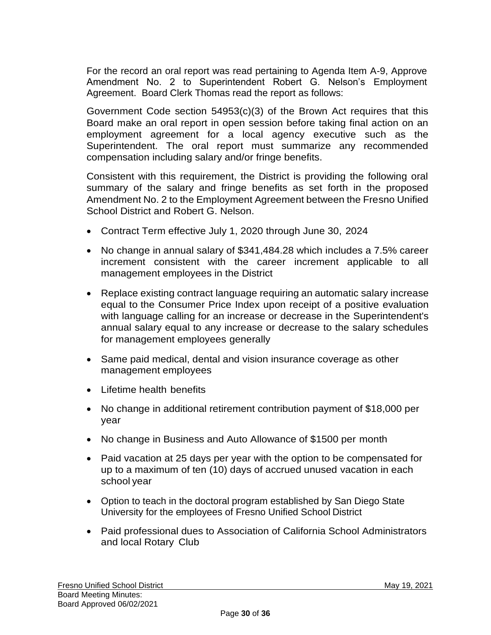For the record an oral report was read pertaining to Agenda Item A-9, Approve Amendment No. 2 to Superintendent Robert G. Nelson's Employment Agreement. Board Clerk Thomas read the report as follows:

Government Code section 54953(c)(3) of the Brown Act requires that this Board make an oral report in open session before taking final action on an employment agreement for a local agency executive such as the Superintendent. The oral report must summarize any recommended compensation including salary and/or fringe benefits.

Consistent with this requirement, the District is providing the following oral summary of the salary and fringe benefits as set forth in the proposed Amendment No. 2 to the Employment Agreement between the Fresno Unified School District and Robert G. Nelson.

- Contract Term effective July 1, 2020 through June 30, 2024
- No change in annual salary of \$341,484.28 which includes a 7.5% career increment consistent with the career increment applicable to all management employees in the District
- Replace existing contract language requiring an automatic salary increase equal to the Consumer Price Index upon receipt of a positive evaluation with language calling for an increase or decrease in the Superintendent's annual salary equal to any increase or decrease to the salary schedules for management employees generally
- Same paid medical, dental and vision insurance coverage as other management employees
- Lifetime health benefits
- No change in additional retirement contribution payment of \$18,000 per year
- No change in Business and Auto Allowance of \$1500 per month
- Paid vacation at 25 days per year with the option to be compensated for up to a maximum of ten (10) days of accrued unused vacation in each school year
- Option to teach in the doctoral program established by San Diego State University for the employees of Fresno Unified School District
- Paid professional dues to Association of California School Administrators and local Rotary Club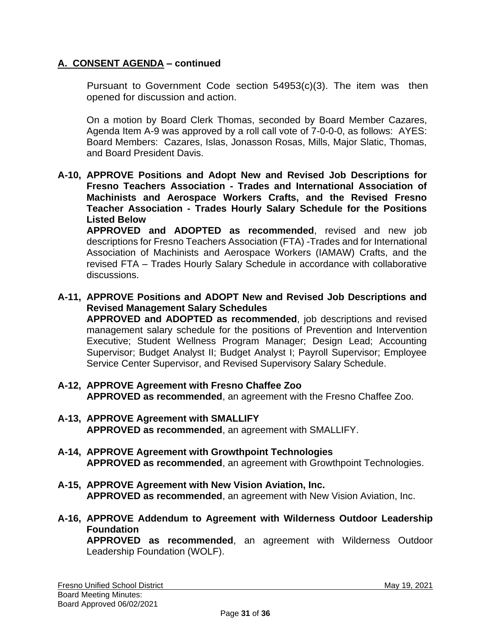# **A. CONSENT AGENDA – continued**

Pursuant to Government Code section 54953(c)(3). The item was then opened for discussion and action.

On a motion by Board Clerk Thomas, seconded by Board Member Cazares, Agenda Item A-9 was approved by a roll call vote of 7-0-0-0, as follows: AYES: Board Members: Cazares, Islas, Jonasson Rosas, Mills, Major Slatic, Thomas, and Board President Davis.

**A-10, APPROVE Positions and Adopt New and Revised Job Descriptions for Fresno Teachers Association - Trades and International Association of Machinists and Aerospace Workers Crafts, and the Revised Fresno Teacher Association - Trades Hourly Salary Schedule for the Positions Listed Below**

**APPROVED and ADOPTED as recommended**, revised and new job descriptions for Fresno Teachers Association (FTA) -Trades and for International Association of Machinists and Aerospace Workers (IAMAW) Crafts, and the revised FTA – Trades Hourly Salary Schedule in accordance with collaborative discussions.

**A-11, APPROVE Positions and ADOPT New and Revised Job Descriptions and Revised Management Salary Schedules**

**APPROVED and ADOPTED as recommended**, job descriptions and revised management salary schedule for the positions of Prevention and Intervention Executive; Student Wellness Program Manager; Design Lead; Accounting Supervisor; Budget Analyst II; Budget Analyst I; Payroll Supervisor; Employee Service Center Supervisor, and Revised Supervisory Salary Schedule.

- **A-12, APPROVE Agreement with Fresno Chaffee Zoo APPROVED as recommended**, an agreement with the Fresno Chaffee Zoo.
- **A-13, APPROVE Agreement with SMALLIFY APPROVED as recommended**, an agreement with SMALLIFY.
- **A-14, APPROVE Agreement with Growthpoint Technologies APPROVED as recommended**, an agreement with Growthpoint Technologies.
- **A-15, APPROVE Agreement with New Vision Aviation, Inc. APPROVED as recommended**, an agreement with New Vision Aviation, Inc.
- **A-16, APPROVE Addendum to Agreement with Wilderness Outdoor Leadership Foundation**

**APPROVED as recommended**, an agreement with Wilderness Outdoor Leadership Foundation (WOLF).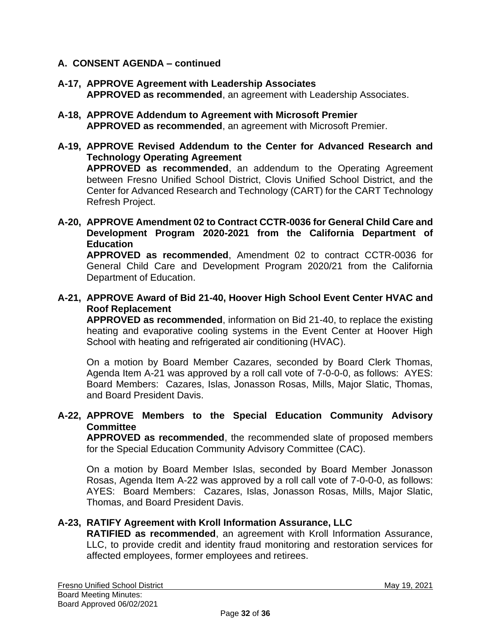## **A. CONSENT AGENDA – continued**

- **A-17, APPROVE Agreement with Leadership Associates APPROVED as recommended**, an agreement with Leadership Associates.
- **A-18, APPROVE Addendum to Agreement with Microsoft Premier APPROVED as recommended**, an agreement with Microsoft Premier.
- **A-19, APPROVE Revised Addendum to the Center for Advanced Research and Technology Operating Agreement APPROVED as recommended**, an addendum to the Operating Agreement between Fresno Unified School District, Clovis Unified School District, and the Center for Advanced Research and Technology (CART) for the CART Technology Refresh Project.
- **A-20, APPROVE Amendment 02 to Contract CCTR-0036 for General Child Care and Development Program 2020-2021 from the California Department of Education**

**APPROVED as recommended**, Amendment 02 to contract CCTR-0036 for General Child Care and Development Program 2020/21 from the California Department of Education.

**A-21, APPROVE Award of Bid 21-40, Hoover High School Event Center HVAC and Roof Replacement**

**APPROVED as recommended**, information on Bid 21-40, to replace the existing heating and evaporative cooling systems in the Event Center at Hoover High School with heating and refrigerated air conditioning (HVAC).

On a motion by Board Member Cazares, seconded by Board Clerk Thomas, Agenda Item A-21 was approved by a roll call vote of 7-0-0-0, as follows: AYES: Board Members: Cazares, Islas, Jonasson Rosas, Mills, Major Slatic, Thomas, and Board President Davis.

#### **A-22, APPROVE Members to the Special Education Community Advisory Committee**

**APPROVED as recommended**, the recommended slate of proposed members for the Special Education Community Advisory Committee (CAC).

On a motion by Board Member Islas, seconded by Board Member Jonasson Rosas, Agenda Item A-22 was approved by a roll call vote of 7-0-0-0, as follows: AYES: Board Members: Cazares, Islas, Jonasson Rosas, Mills, Major Slatic, Thomas, and Board President Davis.

#### **A-23, RATIFY Agreement with Kroll Information Assurance, LLC**

**RATIFIED as recommended**, an agreement with Kroll Information Assurance, LLC, to provide credit and identity fraud monitoring and restoration services for affected employees, former employees and retirees.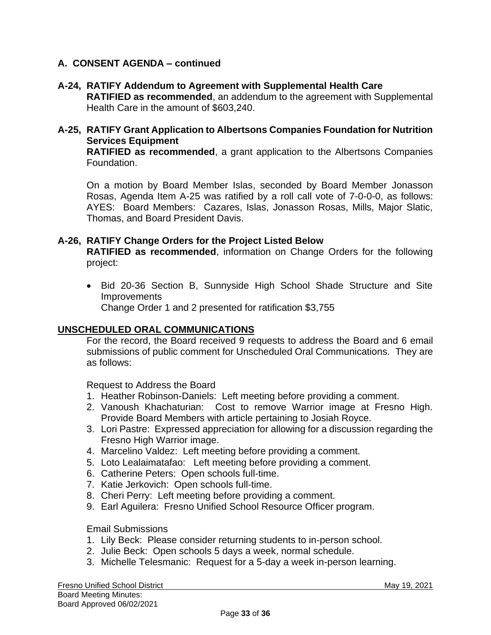## **A. CONSENT AGENDA – continued**

- **A-24, RATIFY Addendum to Agreement with Supplemental Health Care RATIFIED as recommended**, an addendum to the agreement with Supplemental Health Care in the amount of \$603,240.
- **A-25, RATIFY Grant Application to Albertsons Companies Foundation for Nutrition Services Equipment RATIFIED as recommended**, a grant application to the Albertsons Companies Foundation.

On a motion by Board Member Islas, seconded by Board Member Jonasson Rosas, Agenda Item A-25 was ratified by a roll call vote of 7-0-0-0, as follows: AYES: Board Members: Cazares, Islas, Jonasson Rosas, Mills, Major Slatic, Thomas, and Board President Davis.

#### **A-26, RATIFY Change Orders for the Project Listed Below**

**RATIFIED as recommended**, information on Change Orders for the following project:

• Bid 20-36 Section B, Sunnyside High School Shade Structure and Site Improvements Change Order 1 and 2 presented for ratification \$3,755

#### **UNSCHEDULED ORAL COMMUNICATIONS**

For the record, the Board received 9 requests to address the Board and 6 email submissions of public comment for Unscheduled Oral Communications. They are as follows:

Request to Address the Board

- 1. Heather Robinson-Daniels: Left meeting before providing a comment.
- 2. Vanoush Khachaturian: Cost to remove Warrior image at Fresno High. Provide Board Members with article pertaining to Josiah Royce.
- 3. Lori Pastre: Expressed appreciation for allowing for a discussion regarding the Fresno High Warrior image.
- 4. Marcelino Valdez: Left meeting before providing a comment.
- 5. Loto Lealaimatafao: Left meeting before providing a comment.
- 6. Catherine Peters: Open schools full-time.
- 7. Katie Jerkovich: Open schools full-time.
- 8. Cheri Perry: Left meeting before providing a comment.
- 9. Earl Aguilera: Fresno Unified School Resource Officer program.

Email Submissions

- 1. Lily Beck: Please consider returning students to in-person school.
- 2. Julie Beck: Open schools 5 days a week, normal schedule.
- 3. Michelle Telesmanic: Request for a 5-day a week in-person learning.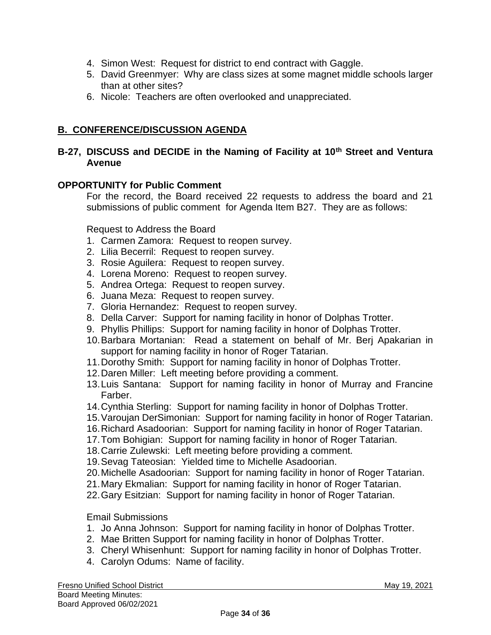- 4. Simon West: Request for district to end contract with Gaggle.
- 5. David Greenmyer: Why are class sizes at some magnet middle schools larger than at other sites?
- 6. Nicole: Teachers are often overlooked and unappreciated.

# **B. CONFERENCE/DISCUSSION AGENDA**

# **B-27, DISCUSS and DECIDE in the Naming of Facility at 10th Street and Ventura Avenue**

## **OPPORTUNITY for Public Comment**

For the record, the Board received 22 requests to address the board and 21 submissions of public comment for Agenda Item B27. They are as follows:

Request to Address the Board

- 1. Carmen Zamora: Request to reopen survey.
- 2. Lilia Becerril: Request to reopen survey.
- 3. Rosie Aguilera: Request to reopen survey.
- 4. Lorena Moreno: Request to reopen survey.
- 5. Andrea Ortega: Request to reopen survey.
- 6. Juana Meza: Request to reopen survey.
- 7. Gloria Hernandez: Request to reopen survey.
- 8. Della Carver: Support for naming facility in honor of Dolphas Trotter.
- 9. Phyllis Phillips: Support for naming facility in honor of Dolphas Trotter.
- 10.Barbara Mortanian: Read a statement on behalf of Mr. Berj Apakarian in support for naming facility in honor of Roger Tatarian.
- 11.Dorothy Smith: Support for naming facility in honor of Dolphas Trotter.
- 12.Daren Miller: Left meeting before providing a comment.
- 13.Luis Santana: Support for naming facility in honor of Murray and Francine Farber.
- 14.Cynthia Sterling: Support for naming facility in honor of Dolphas Trotter.
- 15.Varoujan DerSimonian: Support for naming facility in honor of Roger Tatarian.
- 16.Richard Asadoorian: Support for naming facility in honor of Roger Tatarian.
- 17.Tom Bohigian: Support for naming facility in honor of Roger Tatarian.
- 18.Carrie Zulewski: Left meeting before providing a comment.
- 19.Sevag Tateosian: Yielded time to Michelle Asadoorian.
- 20.Michelle Asadoorian: Support for naming facility in honor of Roger Tatarian.
- 21.Mary Ekmalian: Support for naming facility in honor of Roger Tatarian.
- 22.Gary Esitzian: Support for naming facility in honor of Roger Tatarian.

#### Email Submissions

- 1. Jo Anna Johnson: Support for naming facility in honor of Dolphas Trotter.
- 2. Mae Britten Support for naming facility in honor of Dolphas Trotter.
- 3. Cheryl Whisenhunt: Support for naming facility in honor of Dolphas Trotter.
- 4. Carolyn Odums: Name of facility.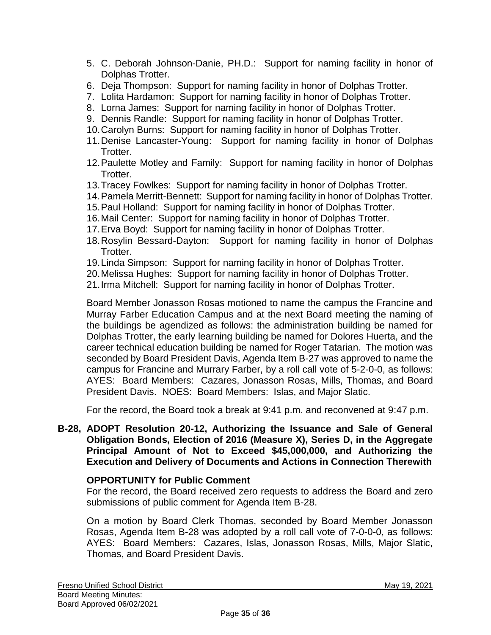- 5. C. Deborah Johnson-Danie, PH.D.: Support for naming facility in honor of Dolphas Trotter.
- 6. Deja Thompson: Support for naming facility in honor of Dolphas Trotter.
- 7. Lolita Hardamon: Support for naming facility in honor of Dolphas Trotter.
- 8. Lorna James: Support for naming facility in honor of Dolphas Trotter.
- 9. Dennis Randle: Support for naming facility in honor of Dolphas Trotter.
- 10.Carolyn Burns: Support for naming facility in honor of Dolphas Trotter.
- 11.Denise Lancaster-Young: Support for naming facility in honor of Dolphas Trotter.
- 12.Paulette Motley and Family: Support for naming facility in honor of Dolphas Trotter.
- 13.Tracey Fowlkes: Support for naming facility in honor of Dolphas Trotter.
- 14.Pamela Merritt-Bennett: Support for naming facility in honor of Dolphas Trotter.
- 15.Paul Holland: Support for naming facility in honor of Dolphas Trotter.
- 16.Mail Center: Support for naming facility in honor of Dolphas Trotter.
- 17.Erva Boyd: Support for naming facility in honor of Dolphas Trotter.
- 18.Rosylin Bessard-Dayton: Support for naming facility in honor of Dolphas Trotter.
- 19.Linda Simpson: Support for naming facility in honor of Dolphas Trotter.
- 20.Melissa Hughes: Support for naming facility in honor of Dolphas Trotter.
- 21.Irma Mitchell: Support for naming facility in honor of Dolphas Trotter.

Board Member Jonasson Rosas motioned to name the campus the Francine and Murray Farber Education Campus and at the next Board meeting the naming of the buildings be agendized as follows: the administration building be named for Dolphas Trotter, the early learning building be named for Dolores Huerta, and the career technical education building be named for Roger Tatarian. The motion was seconded by Board President Davis, Agenda Item B-27 was approved to name the campus for Francine and Murrary Farber, by a roll call vote of 5-2-0-0, as follows: AYES: Board Members: Cazares, Jonasson Rosas, Mills, Thomas, and Board President Davis. NOES: Board Members: Islas, and Major Slatic.

For the record, the Board took a break at 9:41 p.m. and reconvened at 9:47 p.m.

## **B-28, ADOPT Resolution 20-12, Authorizing the Issuance and Sale of General Obligation Bonds, Election of 2016 (Measure X), Series D, in the Aggregate Principal Amount of Not to Exceed \$45,000,000, and Authorizing the Execution and Delivery of Documents and Actions in Connection Therewith**

# **OPPORTUNITY for Public Comment**

For the record, the Board received zero requests to address the Board and zero submissions of public comment for Agenda Item B-28.

On a motion by Board Clerk Thomas, seconded by Board Member Jonasson Rosas, Agenda Item B-28 was adopted by a roll call vote of 7-0-0-0, as follows: AYES: Board Members: Cazares, Islas, Jonasson Rosas, Mills, Major Slatic, Thomas, and Board President Davis.